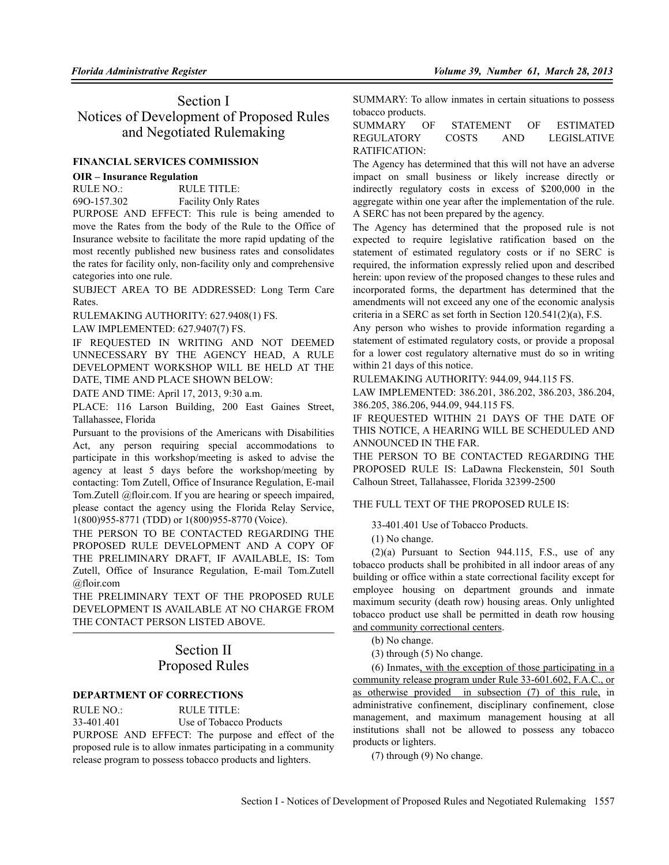# Section I Notices of Development of Proposed Rules and Negotiated Rulemaking

# **FINANCIAL SERVICES COMMISSION**

# **OIR – Insurance Regulation**

| RULE NO.:   | RULE TITLE:                |
|-------------|----------------------------|
| 690-157.302 | <b>Facility Only Rates</b> |
| ______      | ______                     |

PURPOSE AND EFFECT: This rule is being amended to move the Rates from the body of the Rule to the Office of Insurance website to facilitate the more rapid updating of the most recently published new business rates and consolidates the rates for facility only, non-facility only and comprehensive categories into one rule.

SUBJECT AREA TO BE ADDRESSED: Long Term Care Rates.

RULEMAKING AUTHORITY: 627.9408(1) FS.

LAW IMPLEMENTED: 627.9407(7) FS.

IF REQUESTED IN WRITING AND NOT DEEMED UNNECESSARY BY THE AGENCY HEAD, A RULE DEVELOPMENT WORKSHOP WILL BE HELD AT THE DATE, TIME AND PLACE SHOWN BELOW:

DATE AND TIME: April 17, 2013, 9:30 a.m.

PLACE: 116 Larson Building, 200 East Gaines Street, Tallahassee, Florida

Pursuant to the provisions of the Americans with Disabilities Act, any person requiring special accommodations to participate in this workshop/meeting is asked to advise the agency at least 5 days before the workshop/meeting by contacting: Tom Zutell, Office of Insurance Regulation, E-mail Tom.Zutell @floir.com. If you are hearing or speech impaired, please contact the agency using the Florida Relay Service, 1(800)955-8771 (TDD) or 1(800)955-8770 (Voice).

THE PERSON TO BE CONTACTED REGARDING THE PROPOSED RULE DEVELOPMENT AND A COPY OF THE PRELIMINARY DRAFT, IF AVAILABLE, IS: Tom Zutell, Office of Insurance Regulation, E-mail Tom.Zutell @floir.com

THE PRELIMINARY TEXT OF THE PROPOSED RULE DEVELOPMENT IS AVAILABLE AT NO CHARGE FROM THE CONTACT PERSON LISTED ABOVE.

# Section II Proposed Rules

# **DEPARTMENT OF CORRECTIONS**

RULE NO.: RULE TITLE:

33-401.401 Use of Tobacco Products PURPOSE AND EFFECT: The purpose and effect of the proposed rule is to allow inmates participating in a community release program to possess tobacco products and lighters.

SUMMARY: To allow inmates in certain situations to possess tobacco products.

SUMMARY OF STATEMENT OF ESTIMATED REGULATORY COSTS AND LEGISLATIVE RATIFICATION:

The Agency has determined that this will not have an adverse impact on small business or likely increase directly or indirectly regulatory costs in excess of \$200,000 in the aggregate within one year after the implementation of the rule. A SERC has not been prepared by the agency.

The Agency has determined that the proposed rule is not expected to require legislative ratification based on the statement of estimated regulatory costs or if no SERC is required, the information expressly relied upon and described herein: upon review of the proposed changes to these rules and incorporated forms, the department has determined that the amendments will not exceed any one of the economic analysis criteria in a SERC as set forth in Section 120.541(2)(a), F.S.

Any person who wishes to provide information regarding a statement of estimated regulatory costs, or provide a proposal for a lower cost regulatory alternative must do so in writing within 21 days of this notice.

RULEMAKING AUTHORITY: 944.09, 944.115 FS.

LAW IMPLEMENTED: 386.201, 386.202, 386.203, 386.204, 386.205, 386.206, 944.09, 944.115 FS.

IF REQUESTED WITHIN 21 DAYS OF THE DATE OF THIS NOTICE, A HEARING WILL BE SCHEDULED AND ANNOUNCED IN THE FAR.

THE PERSON TO BE CONTACTED REGARDING THE PROPOSED RULE IS: LaDawna Fleckenstein, 501 South Calhoun Street, Tallahassee, Florida 32399-2500

THE FULL TEXT OF THE PROPOSED RULE IS:

33-401.401 Use of Tobacco Products.

(1) No change.

 $(2)(a)$  Pursuant to Section 944.115, F.S., use of any tobacco products shall be prohibited in all indoor areas of any building or office within a state correctional facility except for employee housing on department grounds and inmate maximum security (death row) housing areas. Only unlighted tobacco product use shall be permitted in death row housing and community correctional centers.

(b) No change.

(3) through (5) No change.

(6) Inmates, with the exception of those participating in a community release program under Rule 33-601.602, F.A.C., or as otherwise provided in subsection (7) of this rule, in administrative confinement, disciplinary confinement, close management, and maximum management housing at all institutions shall not be allowed to possess any tobacco products or lighters.

(7) through (9) No change.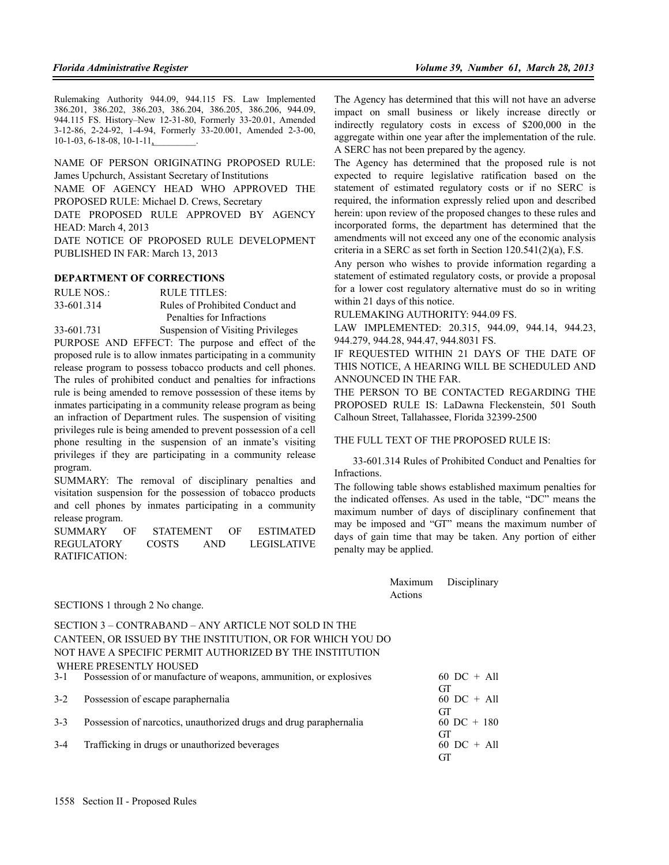Rulemaking Authority 944.09, 944.115 FS. Law Implemented 386.201, 386.202, 386.203, 386.204, 386.205, 386.206, 944.09, 944.115 FS. History–New 12-31-80, Formerly 33-20.01, Amended 3-12-86, 2-24-92, 1-4-94, Formerly 33-20.001, Amended 2-3-00, 10-1-03, 6-18-08, 10-1-11,

NAME OF PERSON ORIGINATING PROPOSED RULE: James Upchurch, Assistant Secretary of Institutions NAME OF AGENCY HEAD WHO APPROVED THE PROPOSED RULE: Michael D. Crews, Secretary DATE PROPOSED RULE APPROVED BY AGENCY HEAD: March 4, 2013 DATE NOTICE OF PROPOSED RULE DEVELOPMENT

PUBLISHED IN FAR: March 13, 2013

#### **DEPARTMENT OF CORRECTIONS**

RULE NOS.: RULE TITLES: 33-601.314 Rules of Prohibited Conduct and Penalties for Infractions 33-601.731 Suspension of Visiting Privileges

PURPOSE AND EFFECT: The purpose and effect of the proposed rule is to allow inmates participating in a community release program to possess tobacco products and cell phones. The rules of prohibited conduct and penalties for infractions rule is being amended to remove possession of these items by inmates participating in a community release program as being an infraction of Department rules. The suspension of visiting privileges rule is being amended to prevent possession of a cell phone resulting in the suspension of an inmate's visiting privileges if they are participating in a community release program.

SUMMARY: The removal of disciplinary penalties and visitation suspension for the possession of tobacco products and cell phones by inmates participating in a community release program.

SUMMARY OF STATEMENT OF ESTIMATED REGULATORY COSTS AND LEGISLATIVE RATIFICATION:

The Agency has determined that this will not have an adverse impact on small business or likely increase directly or indirectly regulatory costs in excess of \$200,000 in the aggregate within one year after the implementation of the rule. A SERC has not been prepared by the agency.

The Agency has determined that the proposed rule is not expected to require legislative ratification based on the statement of estimated regulatory costs or if no SERC is required, the information expressly relied upon and described herein: upon review of the proposed changes to these rules and incorporated forms, the department has determined that the amendments will not exceed any one of the economic analysis criteria in a SERC as set forth in Section 120.541(2)(a), F.S.

Any person who wishes to provide information regarding a statement of estimated regulatory costs, or provide a proposal for a lower cost regulatory alternative must do so in writing within 21 days of this notice.

RULEMAKING AUTHORITY: 944.09 FS.

LAW IMPLEMENTED: 20.315, 944.09, 944.14, 944.23, 944.279, 944.28, 944.47, 944.8031 FS.

IF REQUESTED WITHIN 21 DAYS OF THE DATE OF THIS NOTICE, A HEARING WILL BE SCHEDULED AND ANNOUNCED IN THE FAR.

THE PERSON TO BE CONTACTED REGARDING THE PROPOSED RULE IS: LaDawna Fleckenstein, 501 South Calhoun Street, Tallahassee, Florida 32399-2500

#### THE FULL TEXT OF THE PROPOSED RULE IS:

Maximum Disciplinary

33-601.314 Rules of Prohibited Conduct and Penalties for Infractions.

The following table shows established maximum penalties for the indicated offenses. As used in the table, "DC" means the maximum number of days of disciplinary confinement that may be imposed and "GT" means the maximum number of days of gain time that may be taken. Any portion of either penalty may be applied.

GT<br>60 DC + All

GT

| SECTIONS 1 through 2 No change.                                        | Actions |                           |
|------------------------------------------------------------------------|---------|---------------------------|
| SECTION 3 – CONTRABAND – ANY ARTICLE NOT SOLD IN THE                   |         |                           |
| CANTEEN, OR ISSUED BY THE INSTITUTION, OR FOR WHICH YOU DO             |         |                           |
| NOT HAVE A SPECIFIC PERMIT AUTHORIZED BY THE INSTITUTION               |         |                           |
| WHERE PRESENTLY HOUSED                                                 |         |                           |
| 3-1 Possession of or manufacture of weapons, ammunition, or explosives |         | 60 DC + All               |
| 3-2 Possession of escape paraphernalia                                 |         | GТ<br>$60$ DC + All<br>GТ |

3-3 Possession of narcotics, unauthorized drugs and drug paraphernalia 60 DC + 180

3-4 Trafficking in drugs or unauthorized beverages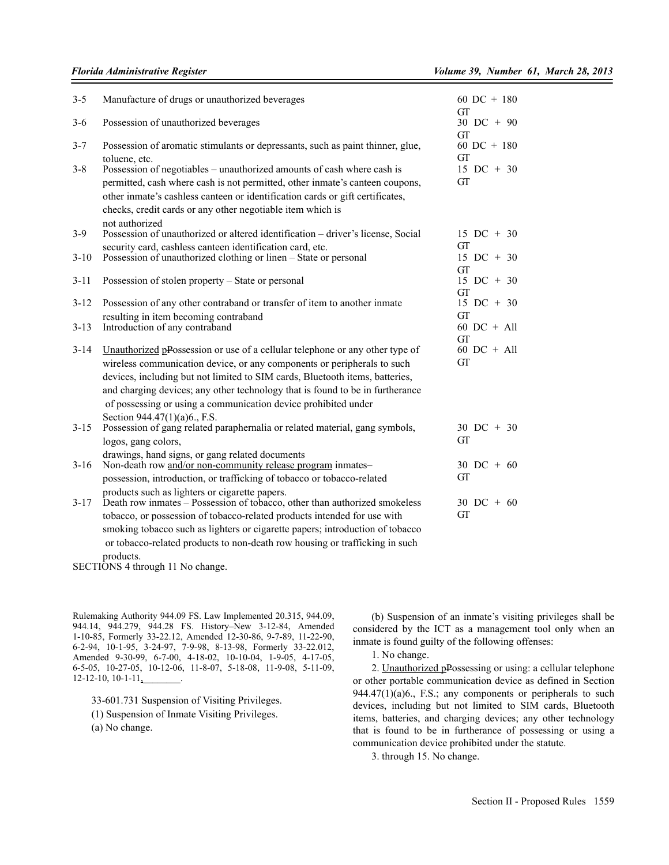| $3 - 5$            | Manufacture of drugs or unauthorized beverages                                                                                                                                                                                                                                                                                                                                                                             | 60 DC + $180$<br>GT                       |
|--------------------|----------------------------------------------------------------------------------------------------------------------------------------------------------------------------------------------------------------------------------------------------------------------------------------------------------------------------------------------------------------------------------------------------------------------------|-------------------------------------------|
| $3-6$              | Possession of unauthorized beverages                                                                                                                                                                                                                                                                                                                                                                                       | $30$ DC + 90<br>GT                        |
| $3 - 7$<br>$3 - 8$ | Possession of aromatic stimulants or depressants, such as paint thinner, glue,<br>toluene, etc.<br>Possession of negotiables – unauthorized amounts of cash where cash is<br>permitted, cash where cash is not permitted, other inmate's canteen coupons,<br>other inmate's cashless canteen or identification cards or gift certificates,<br>checks, credit cards or any other negotiable item which is                   | 60 DC + $180$<br>GT<br>$15$ DC + 30<br>GT |
| $3-9$              | not authorized<br>Possession of unauthorized or altered identification - driver's license, Social                                                                                                                                                                                                                                                                                                                          | 15 DC + 30                                |
| $3-10$             | security card, cashless canteen identification card, etc.<br>Possession of unauthorized clothing or linen - State or personal                                                                                                                                                                                                                                                                                              | GT<br>$15 \text{ DC} + 30$<br>GT          |
| $3 - 11$           | Possession of stolen property – State or personal                                                                                                                                                                                                                                                                                                                                                                          | $15 \text{ DC} + 30$<br>GT                |
| $3 - 12$           | Possession of any other contraband or transfer of item to another inmate                                                                                                                                                                                                                                                                                                                                                   | $15$ DC + 30<br>GT                        |
| $3 - 13$           | resulting in item becoming contraband<br>Introduction of any contraband                                                                                                                                                                                                                                                                                                                                                    | $60$ DC + All<br><b>GT</b>                |
| $3 - 14$           | Unauthorized pPossession or use of a cellular telephone or any other type of<br>wireless communication device, or any components or peripherals to such<br>devices, including but not limited to SIM cards, Bluetooth items, batteries,<br>and charging devices; any other technology that is found to be in furtherance<br>of possessing or using a communication device prohibited under<br>Section 944.47(1)(a)6., F.S. | $60$ DC + All<br><b>GT</b>                |
| $3 - 15$           | Possession of gang related paraphernalia or related material, gang symbols,<br>logos, gang colors,                                                                                                                                                                                                                                                                                                                         | $30$ DC + $30$<br><b>GT</b>               |
| $3 - 16$           | drawings, hand signs, or gang related documents<br>Non-death row and/or non-community release program inmates-                                                                                                                                                                                                                                                                                                             | $30\text{ DC} + 60$                       |
|                    | possession, introduction, or trafficking of tobacco or tobacco-related                                                                                                                                                                                                                                                                                                                                                     | <b>GT</b>                                 |
| $3 - 17$           | products such as lighters or cigarette papers.<br>Death row inmates – Possession of tobacco, other than authorized smokeless<br>tobacco, or possession of tobacco-related products intended for use with<br>smoking tobacco such as lighters or cigarette papers; introduction of tobacco                                                                                                                                  | $30 \text{ DC} + 60$<br><b>GT</b>         |
|                    | or tobacco-related products to non-death row housing or trafficking in such                                                                                                                                                                                                                                                                                                                                                |                                           |

products.

SECTIONS 4 through 11 No change.

Rulemaking Authority 944.09 FS. Law Implemented 20.315, 944.09, 944.14, 944.279, 944.28 FS. History–New 3-12-84, Amended 1-10-85, Formerly 33-22.12, Amended 12-30-86, 9-7-89, 11-22-90, 6-2-94, 10-1-95, 3-24-97, 7-9-98, 8-13-98, Formerly 33-22.012, Amended 9-30-99, 6-7-00, 4-18-02, 10-10-04, 1-9-05, 4-17-05, 6-5-05, 10-27-05, 10-12-06, 11-8-07, 5-18-08, 11-9-08, 5-11-09, 12-12-10, 10-1-11,

33-601.731 Suspension of Visiting Privileges.

(1) Suspension of Inmate Visiting Privileges.

(a) No change.

(b) Suspension of an inmate's visiting privileges shall be considered by the ICT as a management tool only when an inmate is found guilty of the following offenses:

1. No change.

2. Unauthorized pPossessing or using: a cellular telephone or other portable communication device as defined in Section  $944.47(1)(a)6$ ., F.S.; any components or peripherals to such devices, including but not limited to SIM cards, Bluetooth items, batteries, and charging devices; any other technology that is found to be in furtherance of possessing or using a communication device prohibited under the statute.

3. through 15. No change.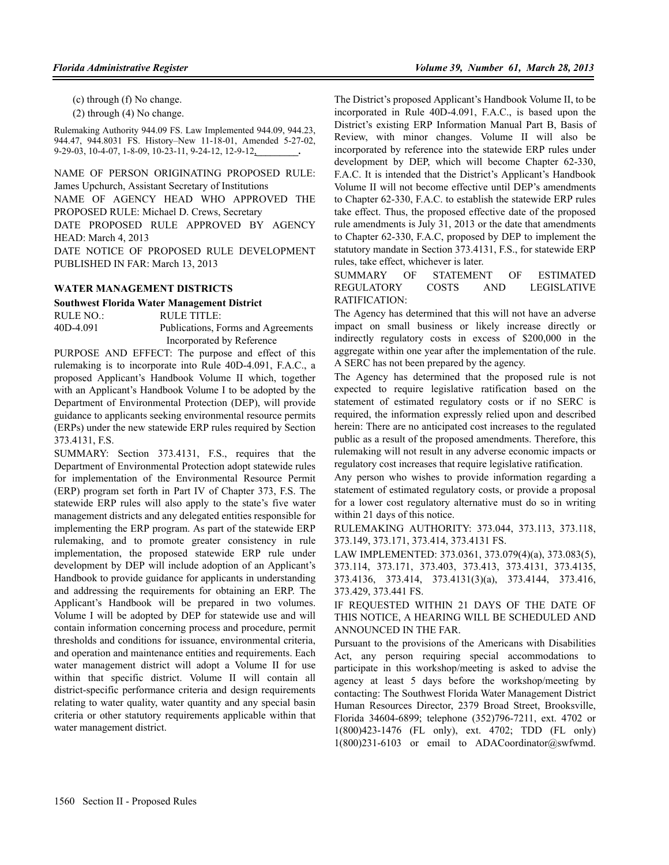(c) through (f) No change.

(2) through (4) No change.

Rulemaking Authority 944.09 FS. Law Implemented 944.09, 944.23, 944.47, 944.8031 FS. History–New 11-18-01, Amended 5-27-02, 9-29-03, 10-4-07, 1-8-09, 10-23-11, 9-24-12, 12-9-12,**\_\_\_\_\_\_\_\_\_.**

NAME OF PERSON ORIGINATING PROPOSED RULE: James Upchurch, Assistant Secretary of Institutions NAME OF AGENCY HEAD WHO APPROVED THE PROPOSED RULE: Michael D. Crews, Secretary DATE PROPOSED RULE APPROVED BY AGENCY HEAD: March 4, 2013 DATE NOTICE OF PROPOSED RULE DEVELOPMENT PUBLISHED IN FAR: March 13, 2013

#### **WATER MANAGEMENT DISTRICTS**

#### **Southwest Florida Water Management District**

RULE NO.: RULE TITLE: 40D-4.091 Publications, Forms and Agreements Incorporated by Reference

PURPOSE AND EFFECT: The purpose and effect of this rulemaking is to incorporate into Rule 40D-4.091, F.A.C., a proposed Applicant's Handbook Volume II which, together with an Applicant's Handbook Volume I to be adopted by the Department of Environmental Protection (DEP), will provide guidance to applicants seeking environmental resource permits (ERPs) under the new statewide ERP rules required by Section 373.4131, F.S.

SUMMARY: Section 373.4131, F.S., requires that the Department of Environmental Protection adopt statewide rules for implementation of the Environmental Resource Permit (ERP) program set forth in Part IV of Chapter 373, F.S. The statewide ERP rules will also apply to the state's five water management districts and any delegated entities responsible for implementing the ERP program. As part of the statewide ERP rulemaking, and to promote greater consistency in rule implementation, the proposed statewide ERP rule under development by DEP will include adoption of an Applicant's Handbook to provide guidance for applicants in understanding and addressing the requirements for obtaining an ERP. The Applicant's Handbook will be prepared in two volumes. Volume I will be adopted by DEP for statewide use and will contain information concerning process and procedure, permit thresholds and conditions for issuance, environmental criteria, and operation and maintenance entities and requirements. Each water management district will adopt a Volume II for use within that specific district. Volume II will contain all district-specific performance criteria and design requirements relating to water quality, water quantity and any special basin criteria or other statutory requirements applicable within that water management district.

The District's proposed Applicant's Handbook Volume II, to be incorporated in Rule 40D-4.091, F.A.C., is based upon the District's existing ERP Information Manual Part B, Basis of Review, with minor changes. Volume II will also be incorporated by reference into the statewide ERP rules under development by DEP, which will become Chapter 62-330, F.A.C. It is intended that the District's Applicant's Handbook Volume II will not become effective until DEP's amendments to Chapter 62-330, F.A.C. to establish the statewide ERP rules take effect. Thus, the proposed effective date of the proposed rule amendments is July 31, 2013 or the date that amendments to Chapter 62-330, F.A.C, proposed by DEP to implement the statutory mandate in Section 373.4131, F.S., for statewide ERP rules, take effect, whichever is later.

SUMMARY OF STATEMENT OF ESTIMATED REGULATORY COSTS AND LEGISLATIVE RATIFICATION:

The Agency has determined that this will not have an adverse impact on small business or likely increase directly or indirectly regulatory costs in excess of \$200,000 in the aggregate within one year after the implementation of the rule. A SERC has not been prepared by the agency.

The Agency has determined that the proposed rule is not expected to require legislative ratification based on the statement of estimated regulatory costs or if no SERC is required, the information expressly relied upon and described herein: There are no anticipated cost increases to the regulated public as a result of the proposed amendments. Therefore, this rulemaking will not result in any adverse economic impacts or regulatory cost increases that require legislative ratification.

Any person who wishes to provide information regarding a statement of estimated regulatory costs, or provide a proposal for a lower cost regulatory alternative must do so in writing within 21 days of this notice.

RULEMAKING AUTHORITY: 373.044, 373.113, 373.118, 373.149, 373.171, 373.414, 373.4131 FS.

LAW IMPLEMENTED: 373.0361, 373.079(4)(a), 373.083(5), 373.114, 373.171, 373.403, 373.413, 373.4131, 373.4135, 373.4136, 373.414, 373.4131(3)(a), 373.4144, 373.416, 373.429, 373.441 FS.

IF REQUESTED WITHIN 21 DAYS OF THE DATE OF THIS NOTICE, A HEARING WILL BE SCHEDULED AND ANNOUNCED IN THE FAR.

Pursuant to the provisions of the Americans with Disabilities Act, any person requiring special accommodations to participate in this workshop/meeting is asked to advise the agency at least 5 days before the workshop/meeting by contacting: The Southwest Florida Water Management District Human Resources Director, 2379 Broad Street, Brooksville, Florida 34604-6899; telephone (352)796-7211, ext. 4702 or 1(800)423-1476 (FL only), ext. 4702; TDD (FL only) 1(800)231-6103 or email to ADACoordinator@swfwmd.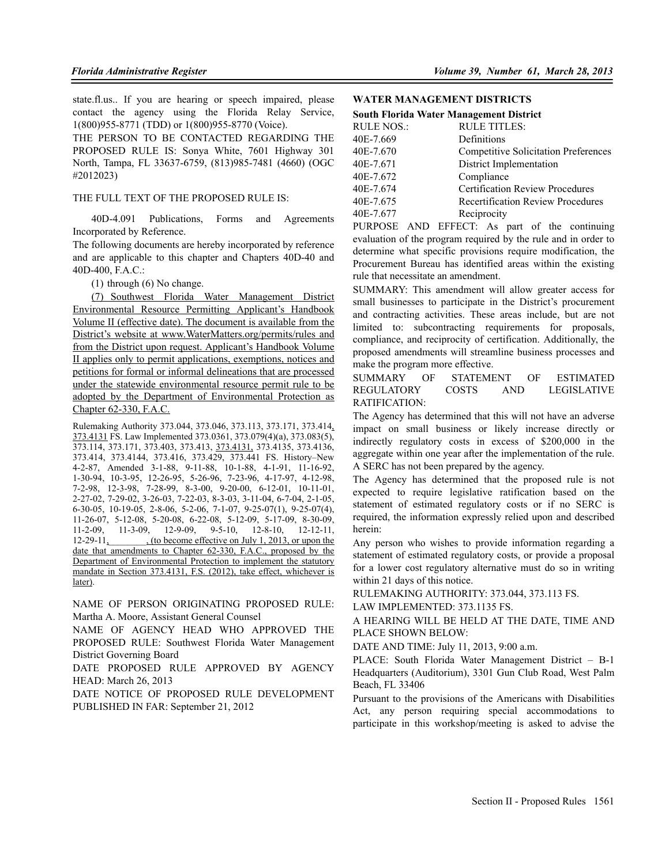state.fl.us.. If you are hearing or speech impaired, please contact the agency using the Florida Relay Service, 1(800)955-8771 (TDD) or 1(800)955-8770 (Voice).

THE PERSON TO BE CONTACTED REGARDING THE PROPOSED RULE IS: Sonya White, 7601 Highway 301 North, Tampa, FL 33637-6759, (813)985-7481 (4660) (OGC #2012023)

#### THE FULL TEXT OF THE PROPOSED RULE IS:

40D-4.091 Publications, Forms and Agreements Incorporated by Reference.

The following documents are hereby incorporated by reference and are applicable to this chapter and Chapters 40D-40 and 40D-400, F.A.C.:

(1) through (6) No change.

(7) Southwest Florida Water Management District Environmental Resource Permitting Applicant's Handbook Volume II (effective date). The document is available from the District's website at www.WaterMatters.org/permits/rules and from the District upon request. Applicant's Handbook Volume II applies only to permit applications, exemptions, notices and petitions for formal or informal delineations that are processed under the statewide environmental resource permit rule to be adopted by the Department of Environmental Protection as Chapter 62-330, F.A.C.

Rulemaking Authority 373.044, 373.046, 373.113, 373.171, 373.414, 373.4131 FS. Law Implemented 373.0361, 373.079(4)(a), 373.083(5), 373.114, 373.171, 373.403, 373.413, 373.4131, 373.4135, 373.4136, 373.414, 373.4144, 373.416, 373.429, 373.441 FS. History–New 4-2-87, Amended 3-1-88, 9-11-88, 10-1-88, 4-1-91, 11-16-92, 1-30-94, 10-3-95, 12-26-95, 5-26-96, 7-23-96, 4-17-97, 4-12-98, 7-2-98, 12-3-98, 7-28-99, 8-3-00, 9-20-00, 6-12-01, 10-11-01, 2-27-02, 7-29-02, 3-26-03, 7-22-03, 8-3-03, 3-11-04, 6-7-04, 2-1-05, 6-30-05, 10-19-05, 2-8-06, 5-2-06, 7-1-07, 9-25-07(1), 9-25-07(4), 11-26-07, 5-12-08, 5-20-08, 6-22-08, 5-12-09, 5-17-09, 8-30-09, 11-2-09, 11-3-09, 12-9-09, 9-5-10, 12-8-10, 12-12-11, 12-29-11, (to become effective on July 1, 2013, or upon the date that amendments to Chapter 62-330, F.A.C., proposed by the Department of Environmental Protection to implement the statutory mandate in Section 373.4131, F.S. (2012), take effect, whichever is later).

NAME OF PERSON ORIGINATING PROPOSED RULE: Martha A. Moore, Assistant General Counsel

NAME OF AGENCY HEAD WHO APPROVED THE PROPOSED RULE: Southwest Florida Water Management District Governing Board

DATE PROPOSED RULE APPROVED BY AGENCY HEAD: March 26, 2013

DATE NOTICE OF PROPOSED RULE DEVELOPMENT PUBLISHED IN FAR: September 21, 2012

### **WATER MANAGEMENT DISTRICTS**

| <b>South Florida Water Management District</b> |                                             |  |
|------------------------------------------------|---------------------------------------------|--|
| <b>RULE NOS.:</b>                              | <b>RULE TITLES:</b>                         |  |
| 40E-7.669                                      | Definitions                                 |  |
| 40E-7.670                                      | <b>Competitive Solicitation Preferences</b> |  |
| 40E-7.671                                      | District Implementation                     |  |
| 40E-7.672                                      | Compliance                                  |  |
| 40E-7.674                                      | <b>Certification Review Procedures</b>      |  |
| 40E-7.675                                      | <b>Recertification Review Procedures</b>    |  |
| 40E-7.677                                      | Reciprocity                                 |  |

PURPOSE AND EFFECT: As part of the continuing evaluation of the program required by the rule and in order to determine what specific provisions require modification, the Procurement Bureau has identified areas within the existing rule that necessitate an amendment.

SUMMARY: This amendment will allow greater access for small businesses to participate in the District's procurement and contracting activities. These areas include, but are not limited to: subcontracting requirements for proposals, compliance, and reciprocity of certification. Additionally, the proposed amendments will streamline business processes and make the program more effective.

SUMMARY OF STATEMENT OF ESTIMATED REGULATORY COSTS AND LEGISLATIVE RATIFICATION:

The Agency has determined that this will not have an adverse impact on small business or likely increase directly or indirectly regulatory costs in excess of \$200,000 in the aggregate within one year after the implementation of the rule. A SERC has not been prepared by the agency.

The Agency has determined that the proposed rule is not expected to require legislative ratification based on the statement of estimated regulatory costs or if no SERC is required, the information expressly relied upon and described herein:

Any person who wishes to provide information regarding a statement of estimated regulatory costs, or provide a proposal for a lower cost regulatory alternative must do so in writing within 21 days of this notice.

RULEMAKING AUTHORITY: 373.044, 373.113 FS.

LAW IMPLEMENTED: 373.1135 FS.

A HEARING WILL BE HELD AT THE DATE, TIME AND PLACE SHOWN BELOW:

DATE AND TIME: July 11, 2013, 9:00 a.m.

PLACE: South Florida Water Management District – B-1 Headquarters (Auditorium), 3301 Gun Club Road, West Palm Beach, FL 33406

Pursuant to the provisions of the Americans with Disabilities Act, any person requiring special accommodations to participate in this workshop/meeting is asked to advise the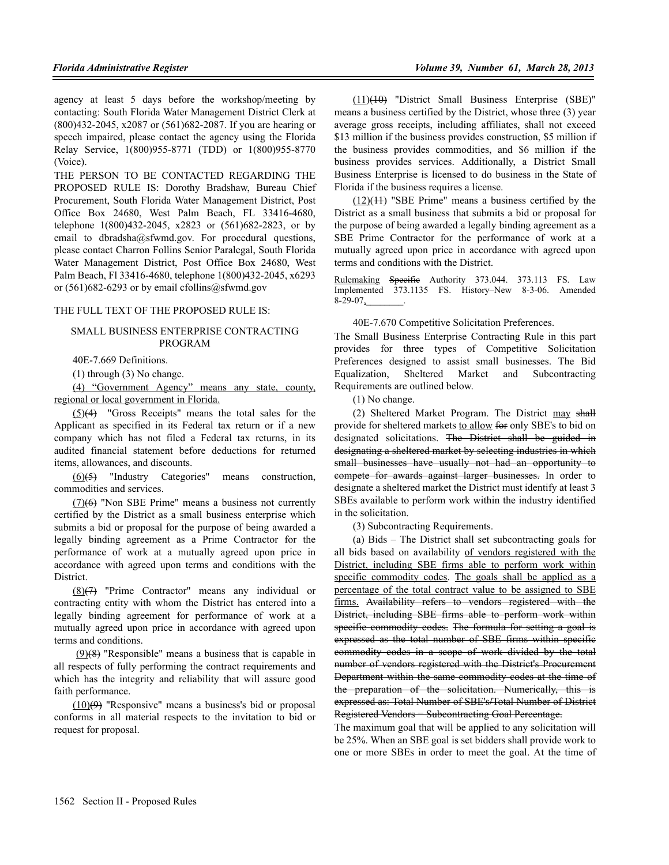agency at least 5 days before the workshop/meeting by contacting: South Florida Water Management District Clerk at (800)432-2045, x2087 or (561)682-2087. If you are hearing or speech impaired, please contact the agency using the Florida Relay Service, 1(800)955-8771 (TDD) or 1(800)955-8770 (Voice).

THE PERSON TO BE CONTACTED REGARDING THE PROPOSED RULE IS: Dorothy Bradshaw, Bureau Chief Procurement, South Florida Water Management District, Post Office Box 24680, West Palm Beach, FL 33416-4680, telephone 1(800)432-2045, x2823 or (561)682-2823, or by email to dbradsha@sfwmd.gov. For procedural questions, please contact Charron Follins Senior Paralegal, South Florida Water Management District, Post Office Box 24680, West Palm Beach, Fl 33416-4680, telephone 1(800)432-2045, x6293 or  $(561)682-6293$  or by email cfollins@sfwmd.gov

# THE FULL TEXT OF THE PROPOSED RULE IS:

#### SMALL BUSINESS ENTERPRISE CONTRACTING PROGRAM

40E-7.669 Definitions.

(1) through (3) No change.

(4) "Government Agency" means any state, county, regional or local government in Florida.

(5)(4) "Gross Receipts" means the total sales for the Applicant as specified in its Federal tax return or if a new company which has not filed a Federal tax returns, in its audited financial statement before deductions for returned items, allowances, and discounts.

(6)(5) "Industry Categories" means construction, commodities and services.

(7)(6) "Non SBE Prime" means a business not currently certified by the District as a small business enterprise which submits a bid or proposal for the purpose of being awarded a legally binding agreement as a Prime Contractor for the performance of work at a mutually agreed upon price in accordance with agreed upon terms and conditions with the **District** 

(8)(7) "Prime Contractor" means any individual or contracting entity with whom the District has entered into a legally binding agreement for performance of work at a mutually agreed upon price in accordance with agreed upon terms and conditions.

 (9)(8) "Responsible" means a business that is capable in all respects of fully performing the contract requirements and which has the integrity and reliability that will assure good faith performance.

 $(10)(9)$  "Responsive" means a business's bid or proposal conforms in all material respects to the invitation to bid or request for proposal.

(11)(10) "District Small Business Enterprise (SBE)" means a business certified by the District, whose three (3) year average gross receipts, including affiliates, shall not exceed \$13 million if the business provides construction, \$5 million if the business provides commodities, and \$6 million if the business provides services. Additionally, a District Small Business Enterprise is licensed to do business in the State of Florida if the business requires a license.

 $(12)(11)$  "SBE Prime" means a business certified by the District as a small business that submits a bid or proposal for the purpose of being awarded a legally binding agreement as a SBE Prime Contractor for the performance of work at a mutually agreed upon price in accordance with agreed upon terms and conditions with the District.

Rulemaking Specific Authority 373.044. 373.113 FS. Law Implemented 373.1135 FS. History–New 8-3-06. Amended  $8-29-07$ ,

40E-7.670 Competitive Solicitation Preferences.

The Small Business Enterprise Contracting Rule in this part provides for three types of Competitive Solicitation Preferences designed to assist small businesses. The Bid Equalization, Sheltered Market and Subcontracting Requirements are outlined below.

(1) No change.

(2) Sheltered Market Program. The District may shall provide for sheltered markets to allow for only SBE's to bid on designated solicitations. The District shall be guided in designating a sheltered market by selecting industries in which small businesses have usually not had an opportunity to compete for awards against larger businesses. In order to designate a sheltered market the District must identify at least 3 SBEs available to perform work within the industry identified in the solicitation.

(3) Subcontracting Requirements.

(a) Bids – The District shall set subcontracting goals for all bids based on availability of vendors registered with the District, including SBE firms able to perform work within specific commodity codes. The goals shall be applied as a percentage of the total contract value to be assigned to SBE firms. Availability refers to vendors registered with the District, including SBE firms able to perform work within specific commodity codes. The formula for setting a goal is expressed as the total number of SBE firms within specific commodity codes in a scope of work divided by the total number of vendors registered with the District's Procurement Department within the same commodity codes at the time of the preparation of the solicitation. Numerically, this is expressed as: Total Number of SBE's**/**Total Number of District Registered Vendors = Subcontracting Goal Percentage.

The maximum goal that will be applied to any solicitation will be 25%. When an SBE goal is set bidders shall provide work to one or more SBEs in order to meet the goal. At the time of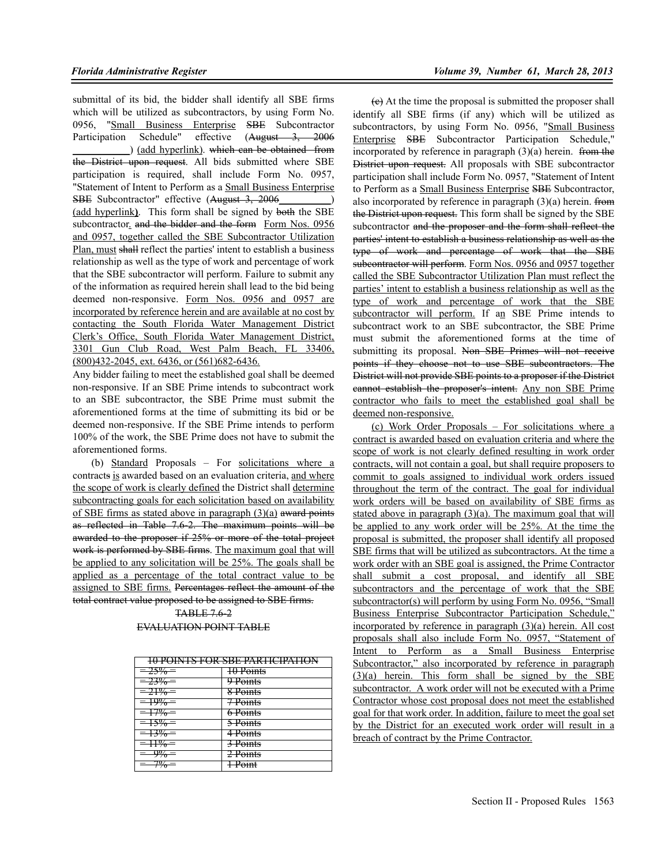submittal of its bid, the bidder shall identify all SBE firms which will be utilized as subcontractors, by using Form No. 0956, "Small Business Enterprise SBE Subcontractor Participation Schedule" effective (August 3, 2006 ) (add hyperlink). which can be obtained from the District upon request. All bids submitted where SBE participation is required, shall include Form No. 0957, "Statement of Intent to Perform as a Small Business Enterprise SBE Subcontractor" effective (August 3, 2006 (add hyperlink**)**. This form shall be signed by both the SBE subcontractor, and the bidder and the form Form Nos. 0956 and 0957, together called the SBE Subcontractor Utilization Plan, must shall reflect the parties' intent to establish a business relationship as well as the type of work and percentage of work that the SBE subcontractor will perform. Failure to submit any of the information as required herein shall lead to the bid being deemed non-responsive. Form Nos. 0956 and 0957 are incorporated by reference herein and are available at no cost by contacting the South Florida Water Management District Clerk's Office, South Florida Water Management District, 3301 Gun Club Road, West Palm Beach, FL 33406, (800)432-2045, ext. 6436, or (561)682-6436.

Any bidder failing to meet the established goal shall be deemed non-responsive. If an SBE Prime intends to subcontract work to an SBE subcontractor, the SBE Prime must submit the aforementioned forms at the time of submitting its bid or be deemed non-responsive. If the SBE Prime intends to perform 100% of the work, the SBE Prime does not have to submit the aforementioned forms.

(b) Standard Proposals – For solicitations where a contracts is awarded based on an evaluation criteria, and where the scope of work is clearly defined the District shall determine subcontracting goals for each solicitation based on availability of SBE firms as stated above in paragraph  $(3)(a)$  award points as reflected in Table 7.6-2. The maximum points will be awarded to the proposer if 25% or more of the total project work is performed by SBE firms. The maximum goal that will be applied to any solicitation will be 25%. The goals shall be applied as a percentage of the total contract value to be assigned to SBE firms. Percentages reflect the amount of the total contract value proposed to be assigned to SBE firms.

> TABLE 7.6-2 EVALUATION POINT TABLE

|                                       | ІА ВАІКТУ ЕАР УРЕ ВАРТІЛІВАТІАН<br><u>19 I OINTO I ON ODE LANTICILATION</u> |
|---------------------------------------|-----------------------------------------------------------------------------|
| $-750/-$<br>2J 70                     | 10 Points                                                                   |
| $-220/-$<br>2270                      | 9 Points                                                                    |
| $710/-$<br>ZT 70                      | 8 Points                                                                    |
| $100/-$<br>$+770$                     | <b>TPoints</b>                                                              |
| 707<br>770                            | <del>6 Points</del>                                                         |
| 1.770                                 | 5 Points                                                                    |
| .770                                  | 4 Points                                                                    |
| 10/<br>1170                           | <del>3 Points</del>                                                         |
| $^{10/2}$<br>$\overline{\phantom{a}}$ | <del>2 Points</del>                                                         |
| 707.<br>70                            | $D_{\alpha int}$<br><del>1 romu</del>                                       |

(c) At the time the proposal is submitted the proposer shall identify all SBE firms (if any) which will be utilized as subcontractors, by using Form No. 0956, "Small Business Enterprise SBE Subcontractor Participation Schedule," incorporated by reference in paragraph  $(3)(a)$  herein. from the District upon request. All proposals with SBE subcontractor participation shall include Form No. 0957, "Statement of Intent to Perform as a Small Business Enterprise SBE Subcontractor, also incorporated by reference in paragraph  $(3)(a)$  herein. from the District upon request. This form shall be signed by the SBE subcontractor and the proposer and the form shall reflect the parties' intent to establish a business relationship as well as the type of work and percentage of work that the SBE subcontractor will perform. Form Nos. 0956 and 0957 together called the SBE Subcontractor Utilization Plan must reflect the parties' intent to establish a business relationship as well as the type of work and percentage of work that the SBE subcontractor will perform. If an SBE Prime intends to subcontract work to an SBE subcontractor, the SBE Prime must submit the aforementioned forms at the time of submitting its proposal. Non SBE Primes will not receive points if they choose not to use SBE subcontractors. The District will not provide SBE points to a proposer if the District cannot establish the proposer's intent. Any non SBE Prime contractor who fails to meet the established goal shall be deemed non-responsive.

(c) Work Order Proposals – For solicitations where a contract is awarded based on evaluation criteria and where the scope of work is not clearly defined resulting in work order contracts, will not contain a goal, but shall require proposers to commit to goals assigned to individual work orders issued throughout the term of the contract. The goal for individual work orders will be based on availability of SBE firms as stated above in paragraph (3)(a). The maximum goal that will be applied to any work order will be 25%. At the time the proposal is submitted, the proposer shall identify all proposed SBE firms that will be utilized as subcontractors. At the time a work order with an SBE goal is assigned, the Prime Contractor shall submit a cost proposal, and identify all SBE subcontractors and the percentage of work that the SBE subcontractor(s) will perform by using Form No. 0956, "Small Business Enterprise Subcontractor Participation Schedule," incorporated by reference in paragraph (3)(a) herein. All cost proposals shall also include Form No. 0957, "Statement of Intent to Perform as a Small Business Enterprise Subcontractor," also incorporated by reference in paragraph  $(3)(a)$  herein. This form shall be signed by the SBE subcontractor. A work order will not be executed with a Prime Contractor whose cost proposal does not meet the established goal for that work order. In addition, failure to meet the goal set by the District for an executed work order will result in a breach of contract by the Prime Contractor.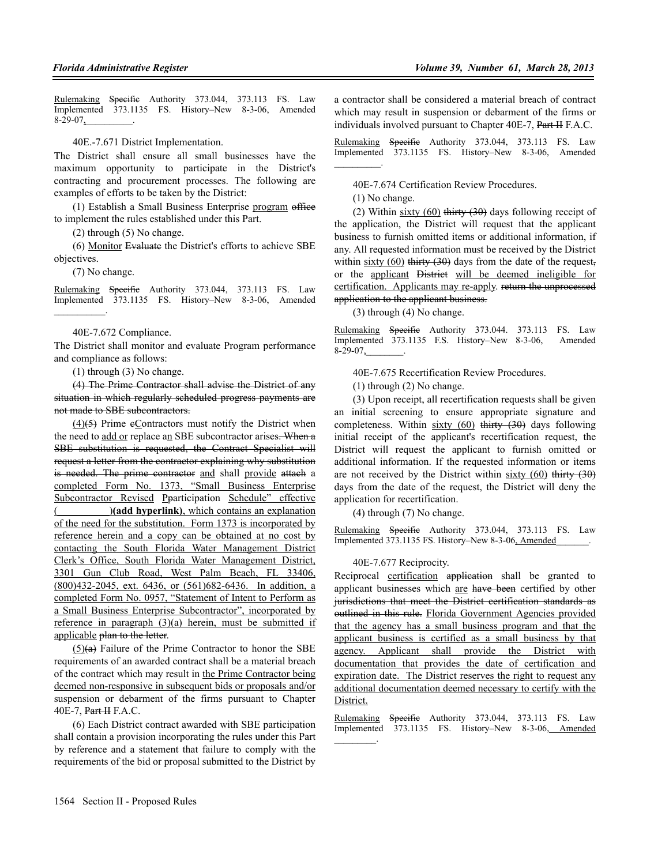Rulemaking Specific Authority 373.044, 373.113 FS. Law Implemented 373.1135 FS. History–New 8-3-06, Amended 8-29-07,

40E.-7.671 District Implementation.

The District shall ensure all small businesses have the maximum opportunity to participate in the District's contracting and procurement processes. The following are examples of efforts to be taken by the District:

(1) Establish a Small Business Enterprise program office to implement the rules established under this Part.

(2) through (5) No change.

(6) Monitor Evaluate the District's efforts to achieve SBE objectives.

(7) No change.

Rulemaking Specific Authority 373.044, 373.113 FS. Law Implemented 373.1135 FS. History–New 8-3-06, Amended  $\sim$   $\sim$   $\sim$ 

#### 40E-7.672 Compliance.

The District shall monitor and evaluate Program performance and compliance as follows:

(1) through (3) No change.

(4) The Prime Contractor shall advise the District of any situation in which regularly scheduled progress payments are not made to SBE subcontractors.

 $(4)(5)$  Prime eContractors must notify the District when the need to add or replace an SBE subcontractor arises. When a SBE substitution is requested, the Contract Specialist will request a letter from the contractor explaining why substitution is needed. The prime contractor and shall provide attach a completed Form No. 1373, "Small Business Enterprise Subcontractor Revised Pparticipation Schedule" effective )(add hyperlink), which contains an explanation of the need for the substitution. Form 1373 is incorporated by reference herein and a copy can be obtained at no cost by contacting the South Florida Water Management District Clerk's Office, South Florida Water Management District, 3301 Gun Club Road, West Palm Beach, FL 33406, (800)432-2045, ext. 6436, or (561)682-6436. In addition, a completed Form No. 0957, "Statement of Intent to Perform as a Small Business Enterprise Subcontractor", incorporated by reference in paragraph  $(3)(a)$  herein, must be submitted if applicable plan to the letter.

 $(5)(a)$  Failure of the Prime Contractor to honor the SBE requirements of an awarded contract shall be a material breach of the contract which may result in the Prime Contractor being deemed non-responsive in subsequent bids or proposals and/or suspension or debarment of the firms pursuant to Chapter 40E-7, Part II F.A.C.

(6) Each District contract awarded with SBE participation shall contain a provision incorporating the rules under this Part by reference and a statement that failure to comply with the requirements of the bid or proposal submitted to the District by a contractor shall be considered a material breach of contract which may result in suspension or debarment of the firms or individuals involved pursuant to Chapter 40E-7, Part II F.A.C.

Rulemaking Specific Authority 373.044, 373.113 FS. Law Implemented 373.1135 FS. History–New 8-3-06, Amended  $\mathcal{L}=\mathcal{L}^{\mathcal{L}}$ 

40E-7.674 Certification Review Procedures.

(1) No change.

(2) Within  $sixty(60)$  thirty (30) days following receipt of the application, the District will request that the applicant business to furnish omitted items or additional information, if any. All requested information must be received by the District within  $sixty$  (60) thirty (30) days from the date of the request, or the applicant District will be deemed ineligible for certification. Applicants may re-apply. return the unprocessed application to the applicant business.

(3) through (4) No change.

Rulemaking Specific Authority 373.044. 373.113 FS. Law Implemented 373.1135 F.S. History–New 8-3-06, Amended  $8-29-07$ ,

40E-7.675 Recertification Review Procedures.

(1) through (2) No change.

(3) Upon receipt, all recertification requests shall be given an initial screening to ensure appropriate signature and completeness. Within  $sixty(60)$  thirty  $(30)$  days following initial receipt of the applicant's recertification request, the District will request the applicant to furnish omitted or additional information. If the requested information or items are not received by the District within  $sixty(60)$  thirty  $(30)$ days from the date of the request, the District will deny the application for recertification.

(4) through (7) No change.

Rulemaking Specific Authority 373.044, 373.113 FS. Law Implemented 373.1135 FS. History–New 8-3-06, Amended

#### 40E-7.677 Reciprocity.

Reciprocal certification application shall be granted to applicant businesses which are have been certified by other jurisdictions that meet the District certification standards as outlined in this rule. Florida Government Agencies provided that the agency has a small business program and that the applicant business is certified as a small business by that agency. Applicant shall provide the District with documentation that provides the date of certification and expiration date. The District reserves the right to request any additional documentation deemed necessary to certify with the District.

Rulemaking Specifie Authority 373.044, 373.113 FS. Law Implemented 373.1135 FS. History–New 8-3-06, Amended  $\mathcal{L}_\text{max}$  and  $\mathcal{L}_\text{max}$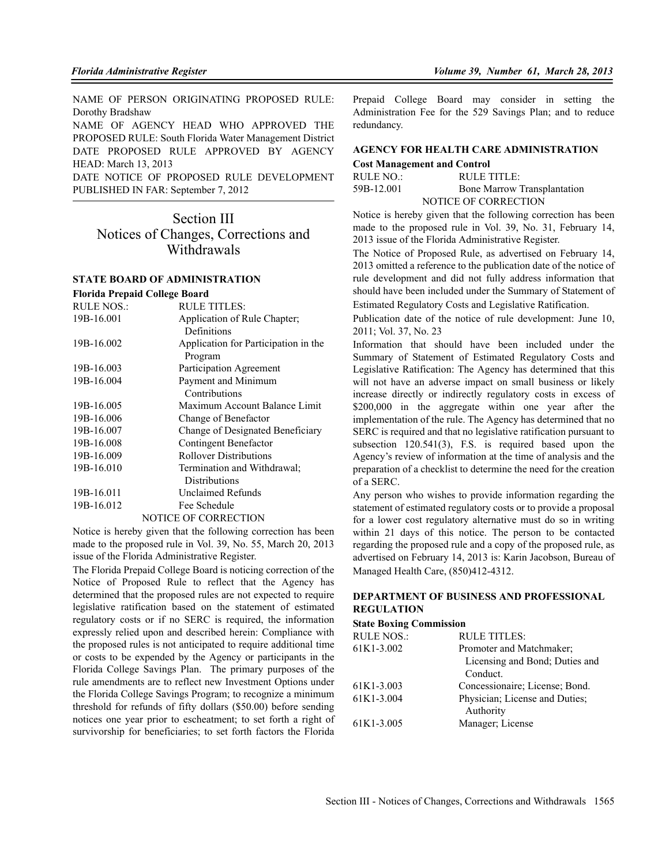NAME OF PERSON ORIGINATING PROPOSED RULE: Dorothy Bradshaw

NAME OF AGENCY HEAD WHO APPROVED THE PROPOSED RULE: South Florida Water Management District DATE PROPOSED RULE APPROVED BY AGENCY HEAD: March 13, 2013

DATE NOTICE OF PROPOSED RULE DEVELOPMENT PUBLISHED IN FAR: September 7, 2012

# Section III Notices of Changes, Corrections and **Withdrawals**

#### **STATE BOARD OF ADMINISTRATION Florida Prepaid College Board**

| <b>RULE NOS.:</b> | <b>RULE TITLES:</b>                  |
|-------------------|--------------------------------------|
| 19B-16.001        | Application of Rule Chapter;         |
|                   | Definitions                          |
| 19B-16.002        | Application for Participation in the |
|                   | Program                              |
| 19B-16.003        | Participation Agreement              |
| 19B-16.004        | Payment and Minimum                  |
|                   | Contributions                        |
| 19B-16.005        | Maximum Account Balance Limit        |
| 19B-16.006        | Change of Benefactor                 |
| 19B-16.007        | Change of Designated Beneficiary     |
| 19B-16.008        | Contingent Benefactor                |
| 19B-16.009        | <b>Rollover Distributions</b>        |
| 19B-16.010        | Termination and Withdrawal;          |
|                   | <b>Distributions</b>                 |
| 19B-16.011        | Unclaimed Refunds                    |
| 19B-16.012        | Fee Schedule                         |
|                   | <b>NOTICE OF CORRECTION</b>          |

Notice is hereby given that the following correction has been made to the proposed rule in Vol. 39, No. 55, March 20, 2013 issue of the Florida Administrative Register.

The Florida Prepaid College Board is noticing correction of the Notice of Proposed Rule to reflect that the Agency has determined that the proposed rules are not expected to require legislative ratification based on the statement of estimated regulatory costs or if no SERC is required, the information expressly relied upon and described herein: Compliance with the proposed rules is not anticipated to require additional time or costs to be expended by the Agency or participants in the Florida College Savings Plan. The primary purposes of the rule amendments are to reflect new Investment Options under the Florida College Savings Program; to recognize a minimum threshold for refunds of fifty dollars (\$50.00) before sending notices one year prior to escheatment; to set forth a right of survivorship for beneficiaries; to set forth factors the Florida

Prepaid College Board may consider in setting the Administration Fee for the 529 Savings Plan; and to reduce redundancy.

#### **AGENCY FOR HEALTH CARE ADMINISTRATION Cost Management and Control**

| RULE NO.:  | RULE TITLE:                        |
|------------|------------------------------------|
| 59B-12.001 | <b>Bone Marrow Transplantation</b> |
|            | NOTICE OF CORRECTION               |

Notice is hereby given that the following correction has been made to the proposed rule in Vol. 39, No. 31, February 14, 2013 issue of the Florida Administrative Register.

The Notice of Proposed Rule, as advertised on February 14, 2013 omitted a reference to the publication date of the notice of rule development and did not fully address information that should have been included under the Summary of Statement of Estimated Regulatory Costs and Legislative Ratification.

Publication date of the notice of rule development: June 10, 2011; Vol. 37, No. 23

Information that should have been included under the Summary of Statement of Estimated Regulatory Costs and Legislative Ratification: The Agency has determined that this will not have an adverse impact on small business or likely increase directly or indirectly regulatory costs in excess of \$200,000 in the aggregate within one year after the implementation of the rule. The Agency has determined that no SERC is required and that no legislative ratification pursuant to subsection 120.541(3), F.S. is required based upon the Agency's review of information at the time of analysis and the preparation of a checklist to determine the need for the creation of a SERC.

Any person who wishes to provide information regarding the statement of estimated regulatory costs or to provide a proposal for a lower cost regulatory alternative must do so in writing within 21 days of this notice. The person to be contacted regarding the proposed rule and a copy of the proposed rule, as advertised on February 14, 2013 is: Karin Jacobson, Bureau of Managed Health Care, (850)412-4312.

### **DEPARTMENT OF BUSINESS AND PROFESSIONAL REGULATION**

#### **State Boxing Commission**

| <b>RULE NOS.:</b> | <b>RULE TITLES:</b>            |
|-------------------|--------------------------------|
| 61K1-3.002        | Promoter and Matchmaker;       |
|                   | Licensing and Bond; Duties and |
|                   | Conduct.                       |
| 61K1-3.003        | Concessionaire; License; Bond. |
| 61K1-3.004        | Physician; License and Duties; |
|                   | Authority                      |
| 61K1-3.005        | Manager; License               |
|                   |                                |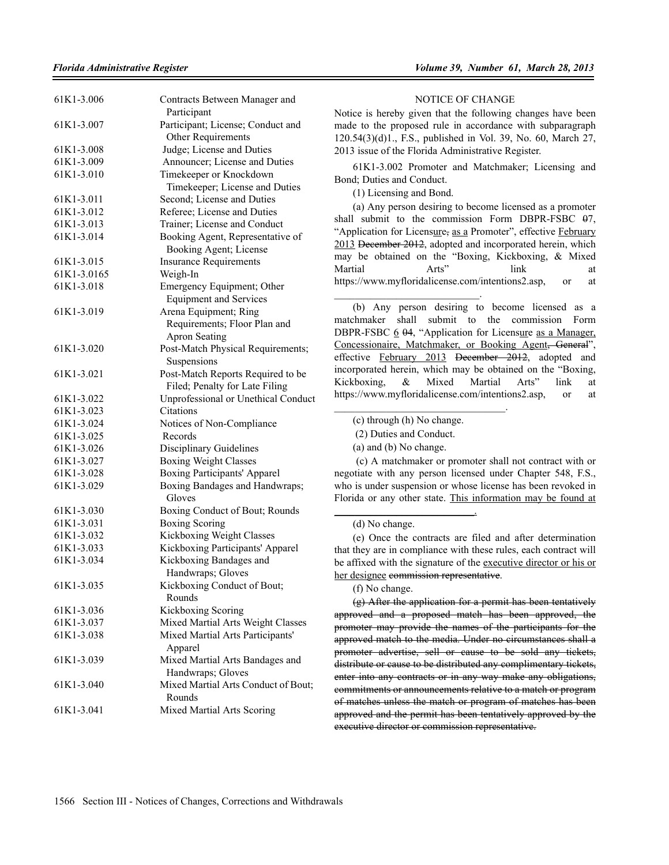| 61K1-3.006  | Contracts Between Manager and<br>Participant                        |
|-------------|---------------------------------------------------------------------|
| 61K1-3.007  | Participant; License; Conduct and<br>Other Requirements             |
| 61K1-3.008  | Judge; License and Duties                                           |
| 61K1-3.009  | Announcer; License and Duties                                       |
| 61K1-3.010  | Timekeeper or Knockdown                                             |
|             | Timekeeper; License and Duties                                      |
| 61K1-3.011  | Second; License and Duties                                          |
| 61K1-3.012  | Referee; License and Duties                                         |
| 61K1-3.013  | Trainer; License and Conduct                                        |
| 61K1-3.014  | Booking Agent, Representative of<br>Booking Agent; License          |
| 61K1-3.015  | <b>Insurance Requirements</b>                                       |
| 61K1-3.0165 | Weigh-In                                                            |
| 61K1-3.018  | Emergency Equipment; Other                                          |
|             | <b>Equipment and Services</b>                                       |
| 61K1-3.019  | Arena Equipment; Ring                                               |
|             | Requirements; Floor Plan and                                        |
|             | <b>Apron Seating</b>                                                |
| 61K1-3.020  | Post-Match Physical Requirements;                                   |
|             | Suspensions                                                         |
| 61K1-3.021  | Post-Match Reports Required to be<br>Filed; Penalty for Late Filing |
| 61K1-3.022  | Unprofessional or Unethical Conduct                                 |
| 61K1-3.023  | Citations                                                           |
| 61K1-3.024  | Notices of Non-Compliance                                           |
| 61K1-3.025  | Records                                                             |
| 61K1-3.026  | <b>Disciplinary Guidelines</b>                                      |
| 61K1-3.027  | <b>Boxing Weight Classes</b>                                        |
| 61K1-3.028  | <b>Boxing Participants' Apparel</b>                                 |
| 61K1-3.029  | Boxing Bandages and Handwraps;                                      |
|             | Gloves                                                              |
| 61K1-3.030  | Boxing Conduct of Bout; Rounds                                      |
| 61K1-3.031  | <b>Boxing Scoring</b>                                               |
| 61K1-3.032  | Kickboxing Weight Classes                                           |
| 61K1-3.033  | Kickboxing Participants' Apparel                                    |
| 61K1-3.034  | Kickboxing Bandages and<br>Handwraps; Gloves                        |
| 61K1-3.035  | Kickboxing Conduct of Bout;<br>Rounds                               |
| 61K1-3.036  | Kickboxing Scoring                                                  |
| 61K1-3.037  | Mixed Martial Arts Weight Classes                                   |
| 61K1-3.038  | Mixed Martial Arts Participants'<br>Apparel                         |
| 61K1-3.039  | Mixed Martial Arts Bandages and<br>Handwraps; Gloves                |
| 61K1-3.040  | Mixed Martial Arts Conduct of Bout;<br>Rounds                       |
| 61K1-3.041  | Mixed Martial Arts Scoring                                          |

### NOTICE OF CHANGE

Notice is hereby given that the following changes have been made to the proposed rule in accordance with subparagraph 120.54(3)(d)1., F.S., published in Vol. 39, No. 60, March 27, 2013 issue of the Florida Administrative Register.

61K1-3.002 Promoter and Matchmaker; Licensing and Bond; Duties and Conduct.

(1) Licensing and Bond.

 $\mathcal{L}_\text{max}$  and  $\mathcal{L}_\text{max}$  and  $\mathcal{L}_\text{max}$  and  $\mathcal{L}_\text{max}$ 

(a) Any person desiring to become licensed as a promoter shall submit to the commission Form DBPR-FSBC 07. "Application for Licensure, as a Promoter", effective February 2013 December 2012, adopted and incorporated herein, which may be obtained on the "Boxing, Kickboxing, & Mixed Martial Arts" link at https://www.myfloridalicense.com/intentions2.asp, or at

(b) Any person desiring to become licensed as a matchmaker shall submit to the commission Form DBPR-FSBC  $6\,$  04, "Application for Licensure as a Manager, Concessionaire, Matchmaker, or Booking Agent<del>, General</del>", effective February 2013 December 2012, adopted and incorporated herein, which may be obtained on the "Boxing, Kickboxing, & Mixed Martial Arts" link at https://www.myfloridalicense.com/intentions2.asp, or at

(c) through (h) No change.

 $\mathcal{L}_\text{max}$  and  $\mathcal{L}_\text{max}$  and  $\mathcal{L}_\text{max}$  and  $\mathcal{L}_\text{max}$ 

(2) Duties and Conduct.

(a) and (b) No change.

\_\_\_\_\_\_\_\_\_\_\_\_\_\_\_\_\_\_\_\_\_\_\_\_\_\_\_.

 (c) A matchmaker or promoter shall not contract with or negotiate with any person licensed under Chapter 548, F.S., who is under suspension or whose license has been revoked in Florida or any other state. This information may be found at

(d) No change.

(e) Once the contracts are filed and after determination that they are in compliance with these rules, each contract will be affixed with the signature of the executive director or his or her designee commission representative.

(f) No change.

(g) After the application for a permit has been tentatively approved and a proposed match has been approved, the promoter may provide the names of the participants for the approved match to the media. Under no circumstances shall a promoter advertise, sell or cause to be sold any tickets, distribute or cause to be distributed any complimentary tickets, enter into any contracts or in any way make any obligations, commitments or announcements relative to a match or program of matches unless the match or program of matches has been approved and the permit has been tentatively approved by the executive director or commission representative.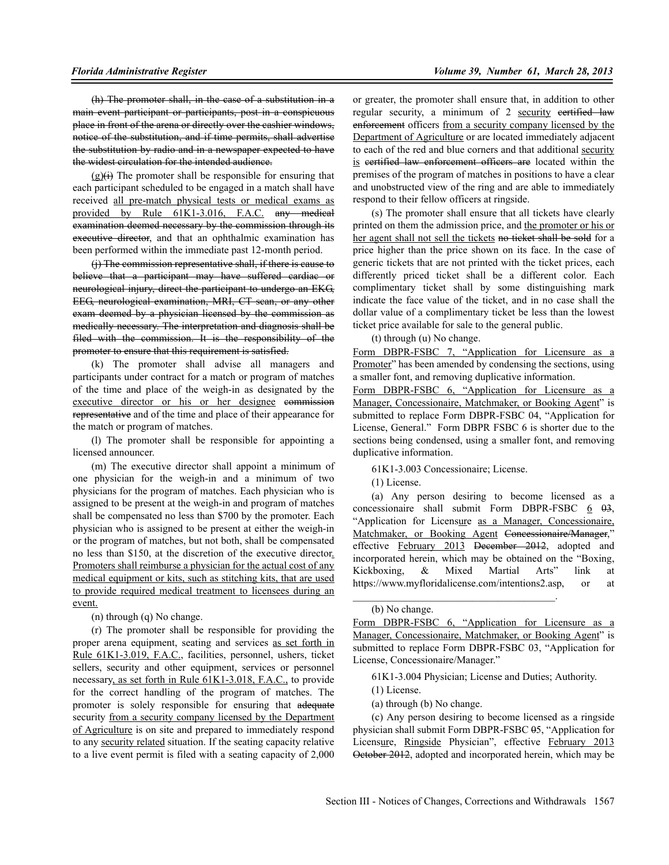(h) The promoter shall, in the case of a substitution in a main event participant or participants, post in a conspicuous place in front of the arena or directly over the cashier windows, notice of the substitution, and if time permits, shall advertise the substitution by radio and in a newspaper expected to have the widest circulation for the intended audience.

 $(g)(i)$  The promoter shall be responsible for ensuring that each participant scheduled to be engaged in a match shall have received all pre-match physical tests or medical exams as provided by Rule 61K1-3.016, F.A.C. any medical examination deemed necessary by the commission through its executive director, and that an ophthalmic examination has been performed within the immediate past 12-month period.

(j) The commission representative shall, if there is cause to believe that a participant may have suffered cardiac or neurological injury, direct the participant to undergo an EKG, EEG, neurological examination, MRI, CT scan, or any other exam deemed by a physician licensed by the commission as medically necessary. The interpretation and diagnosis shall be filed with the commission. It is the responsibility of the promoter to ensure that this requirement is satisfied.

(k) The promoter shall advise all managers and participants under contract for a match or program of matches of the time and place of the weigh-in as designated by the executive director or his or her designee commission representative and of the time and place of their appearance for the match or program of matches.

(l) The promoter shall be responsible for appointing a licensed announcer.

(m) The executive director shall appoint a minimum of one physician for the weigh-in and a minimum of two physicians for the program of matches. Each physician who is assigned to be present at the weigh-in and program of matches shall be compensated no less than \$700 by the promoter. Each physician who is assigned to be present at either the weigh-in or the program of matches, but not both, shall be compensated no less than \$150, at the discretion of the executive director. Promoters shall reimburse a physician for the actual cost of any medical equipment or kits, such as stitching kits, that are used to provide required medical treatment to licensees during an event.

(n) through (q) No change.

(r) The promoter shall be responsible for providing the proper arena equipment, seating and services as set forth in Rule 61K1-3.019, F.A.C., facilities, personnel, ushers, ticket sellers, security and other equipment, services or personnel necessary, as set forth in Rule 61K1-3.018, F.A.C., to provide for the correct handling of the program of matches. The promoter is solely responsible for ensuring that adequate security from a security company licensed by the Department of Agriculture is on site and prepared to immediately respond to any security related situation. If the seating capacity relative to a live event permit is filed with a seating capacity of 2,000

or greater, the promoter shall ensure that, in addition to other regular security, a minimum of 2 security certified law enforcement officers from a security company licensed by the Department of Agriculture or are located immediately adjacent to each of the red and blue corners and that additional security is eertified law enforcement officers are located within the premises of the program of matches in positions to have a clear and unobstructed view of the ring and are able to immediately respond to their fellow officers at ringside.

(s) The promoter shall ensure that all tickets have clearly printed on them the admission price, and the promoter or his or her agent shall not sell the tickets no ticket shall be sold for a price higher than the price shown on its face. In the case of generic tickets that are not printed with the ticket prices, each differently priced ticket shall be a different color. Each complimentary ticket shall by some distinguishing mark indicate the face value of the ticket, and in no case shall the dollar value of a complimentary ticket be less than the lowest ticket price available for sale to the general public.

(t) through (u) No change.

Form DBPR-FSBC 7, "Application for Licensure as a Promoter" has been amended by condensing the sections, using a smaller font, and removing duplicative information.

Form DBPR-FSBC 6, "Application for Licensure as a Manager, Concessionaire, Matchmaker, or Booking Agent" is submitted to replace Form DBPR-FSBC 04, "Application for License, General." Form DBPR FSBC 6 is shorter due to the sections being condensed, using a smaller font, and removing duplicative information.

61K1-3.003 Concessionaire; License.

\_\_\_\_\_\_\_\_\_\_\_\_\_\_\_\_\_\_\_\_\_\_\_\_\_\_\_\_\_\_\_\_\_\_\_\_\_\_\_.

(1) License.

(a) Any person desiring to become licensed as a concessionaire shall submit Form DBPR-FSBC  $6\quad 03$ , "Application for Licensure as a Manager, Concessionaire, Matchmaker, or Booking Agent Concessionaire/Manager," effective February 2013 December 2012, adopted and incorporated herein, which may be obtained on the "Boxing, Kickboxing, & Mixed Martial Arts" link at https://www.myfloridalicense.com/intentions2.asp, or at

(b) No change.

Form DBPR-FSBC 6, "Application for Licensure as a Manager, Concessionaire, Matchmaker, or Booking Agent" is submitted to replace Form DBPR-FSBC 03, "Application for License, Concessionaire/Manager."

61K1-3.004 Physician; License and Duties; Authority.

(1) License.

(a) through (b) No change.

(c) Any person desiring to become licensed as a ringside physician shall submit Form DBPR-FSBC 05, "Application for Licensure, Ringside Physician", effective February 2013 October 2012, adopted and incorporated herein, which may be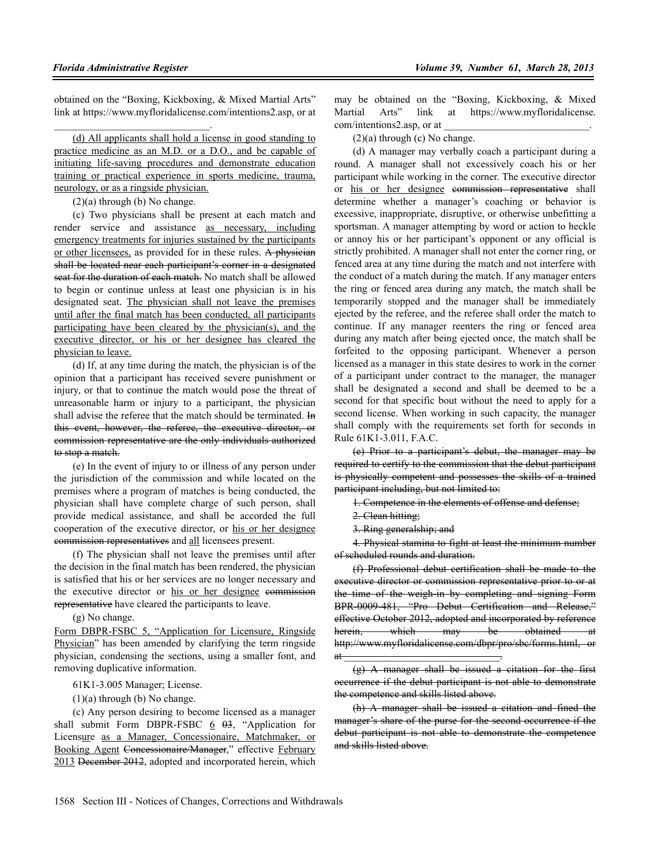obtained on the "Boxing, Kickboxing, & Mixed Martial Arts" link at https://www.myfloridalicense.com/intentions2.asp, or at

(d) All applicants shall hold a license in good standing to practice medicine as an M.D. or a D.O., and be capable of initiating life-saving procedures and demonstrate education training or practical experience in sports medicine, trauma, neurology, or as a ringside physician.

 $(2)(a)$  through (b) No change.

 $\mathcal{L}_\text{max}$  and  $\mathcal{L}_\text{max}$  and  $\mathcal{L}_\text{max}$  and  $\mathcal{L}_\text{max}$ 

(c) Two physicians shall be present at each match and render service and assistance as necessary, including emergency treatments for injuries sustained by the participants or other licensees, as provided for in these rules. A physician shall be located near each participant's corner in a designated seat for the duration of each match. No match shall be allowed to begin or continue unless at least one physician is in his designated seat. The physician shall not leave the premises until after the final match has been conducted, all participants participating have been cleared by the physician(s), and the executive director, or his or her designee has cleared the physician to leave.

(d) If, at any time during the match, the physician is of the opinion that a participant has received severe punishment or injury, or that to continue the match would pose the threat of unreasonable harm or injury to a participant, the physician shall advise the referee that the match should be terminated. In this event, however, the referee, the executive director, or commission representative are the only individuals authorized to stop a match.

(e) In the event of injury to or illness of any person under the jurisdiction of the commission and while located on the premises where a program of matches is being conducted, the physician shall have complete charge of such person, shall provide medical assistance, and shall be accorded the full cooperation of the executive director, or his or her designee commission representatives and all licensees present.

(f) The physician shall not leave the premises until after the decision in the final match has been rendered, the physician is satisfied that his or her services are no longer necessary and the executive director or his or her designee commission representative have cleared the participants to leave.

(g) No change.

Form DBPR-FSBC 5, "Application for Licensure, Ringside Physician" has been amended by clarifying the term ringside physician, condensing the sections, using a smaller font, and removing duplicative information.

61K1-3.005 Manager; License.

(1)(a) through (b) No change.

(c) Any person desiring to become licensed as a manager shall submit Form DBPR-FSBC  $6\overline{0}$ , "Application for Licensure as a Manager, Concessionaire, Matchmaker, or Booking Agent Concessionaire/Manager," effective February 2013 December 2012, adopted and incorporated herein, which may be obtained on the "Boxing, Kickboxing, & Mixed Martial Arts" link at https://www.myfloridalicense. com/intentions2.asp, or at

 $(2)(a)$  through  $(c)$  No change.

(d) A manager may verbally coach a participant during a round. A manager shall not excessively coach his or her participant while working in the corner. The executive director or his or her designee commission representative shall determine whether a manager's coaching or behavior is excessive, inappropriate, disruptive, or otherwise unbefitting a sportsman. A manager attempting by word or action to heckle or annoy his or her participant's opponent or any official is strictly prohibited. A manager shall not enter the corner ring, or fenced area at any time during the match and not interfere with the conduct of a match during the match. If any manager enters the ring or fenced area during any match, the match shall be temporarily stopped and the manager shall be immediately ejected by the referee, and the referee shall order the match to continue. If any manager reenters the ring or fenced area during any match after being ejected once, the match shall be forfeited to the opposing participant. Whenever a person licensed as a manager in this state desires to work in the corner of a participant under contract to the manager, the manager shall be designated a second and shall be deemed to be a second for that specific bout without the need to apply for a second license. When working in such capacity, the manager shall comply with the requirements set forth for seconds in Rule 61K1-3.011, F.A.C.

(e) Prior to a participant's debut, the manager may be required to certify to the commission that the debut participant is physically competent and possesses the skills of a trained participant including, but not limited to:

1. Competence in the elements of offense and defense;

- 2. Clean hitting;
- 3. Ring generalship; and

at  $\frac{1}{2}$ 

4. Physical stamina to fight at least the minimum number of scheduled rounds and duration.

(f) Professional debut certification shall be made to the executive director or commission representative prior to or at the time of the weigh-in by completing and signing Form BPR-0009-481, "Pro Debut Certification and Release," effective October 2012, adopted and incorporated by reference herein, which may be obtained at http://www.myfloridalicense.com/dbpr/pro/sbc/forms.html, or

(h) A manager shall be issued a citation and fined the manager's share of the purse for the second occurrence if the debut participant is not able to demonstrate the competence and skills listed above.

 $(g)$  A manager shall be issued a citation for the first occurrence if the debut participant is not able to demonstrate the competence and skills listed above.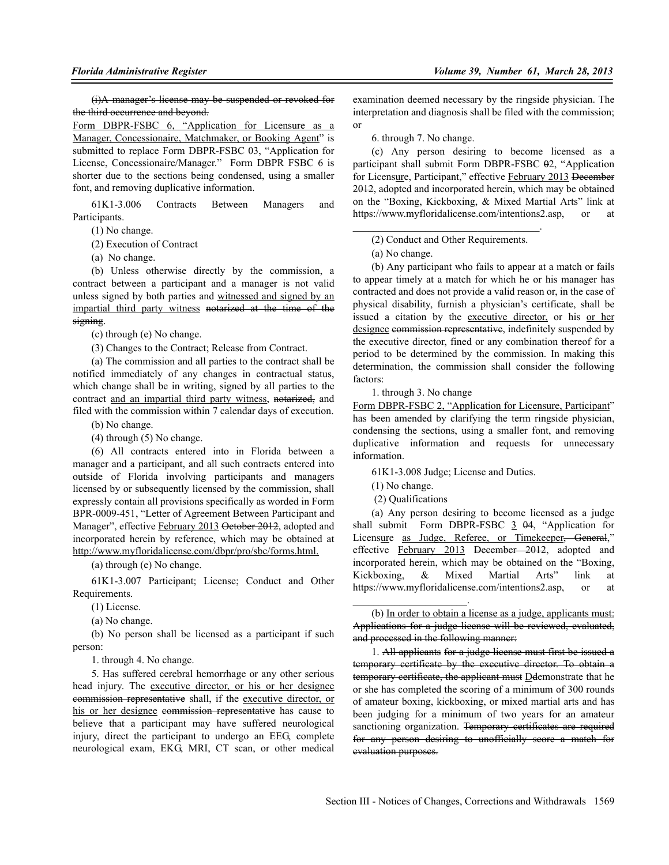(i)A manager's license may be suspended or revoked for the third occurrence and beyond.

Form DBPR-FSBC 6, "Application for Licensure as a Manager, Concessionaire, Matchmaker, or Booking Agent" is submitted to replace Form DBPR-FSBC 03, "Application for License, Concessionaire/Manager." Form DBPR FSBC 6 is shorter due to the sections being condensed, using a smaller font, and removing duplicative information.

61K1-3.006 Contracts Between Managers and Participants.

(1) No change.

(2) Execution of Contract

(a) No change.

(b) Unless otherwise directly by the commission, a contract between a participant and a manager is not valid unless signed by both parties and witnessed and signed by an impartial third party witness notarized at the time of the signing.

(c) through (e) No change.

(3) Changes to the Contract; Release from Contract.

(a) The commission and all parties to the contract shall be notified immediately of any changes in contractual status, which change shall be in writing, signed by all parties to the contract and an impartial third party witness, notarized, and filed with the commission within 7 calendar days of execution.

(b) No change.

(4) through (5) No change.

(6) All contracts entered into in Florida between a manager and a participant, and all such contracts entered into outside of Florida involving participants and managers licensed by or subsequently licensed by the commission, shall expressly contain all provisions specifically as worded in Form BPR-0009-451, "Letter of Agreement Between Participant and Manager", effective February 2013 October 2012, adopted and incorporated herein by reference, which may be obtained at http://www.myfloridalicense.com/dbpr/pro/sbc/forms.html.

(a) through (e) No change.

61K1-3.007 Participant; License; Conduct and Other Requirements.

(1) License.

(a) No change.

(b) No person shall be licensed as a participant if such person:

1. through 4. No change.

5. Has suffered cerebral hemorrhage or any other serious head injury. The executive director, or his or her designee commission representative shall, if the executive director, or his or her designee commission representative has cause to believe that a participant may have suffered neurological injury, direct the participant to undergo an EEG, complete neurological exam, EKG, MRI, CT scan, or other medical

examination deemed necessary by the ringside physician. The interpretation and diagnosis shall be filed with the commission; or

6. through 7. No change.

(c) Any person desiring to become licensed as a participant shall submit Form DBPR-FSBC 02, "Application for Licensure, Participant," effective February 2013 December 2012, adopted and incorporated herein, which may be obtained on the "Boxing, Kickboxing, & Mixed Martial Arts" link at https://www.myfloridalicense.com/intentions2.asp, or at

 $\mathcal{L}_\text{max}$  and  $\mathcal{L}_\text{max}$  and  $\mathcal{L}_\text{max}$  and  $\mathcal{L}_\text{max}$ (2) Conduct and Other Requirements.

(a) No change.

(b) Any participant who fails to appear at a match or fails to appear timely at a match for which he or his manager has contracted and does not provide a valid reason or, in the case of physical disability, furnish a physician's certificate, shall be issued a citation by the executive director, or his or her designee commission representative, indefinitely suspended by the executive director, fined or any combination thereof for a period to be determined by the commission. In making this determination, the commission shall consider the following factors:

1. through 3. No change

Form DBPR-FSBC 2, "Application for Licensure, Participant" has been amended by clarifying the term ringside physician, condensing the sections, using a smaller font, and removing duplicative information and requests for unnecessary information.

61K1-3.008 Judge; License and Duties.

(1) No change.

(2) Qualifications

 $\mathcal{L}_\text{max}$  , where  $\mathcal{L}_\text{max}$  is the set of the set of the set of the set of the set of the set of the set of the set of the set of the set of the set of the set of the set of the set of the set of the set of the se

(a) Any person desiring to become licensed as a judge shall submit Form DBPR-FSBC  $\frac{3}{5}$   $\frac{0.4}{0.4}$ , "Application for Licensure as Judge, Referee, or Timekeeper, General," effective February 2013 December 2012, adopted and incorporated herein, which may be obtained on the "Boxing, Kickboxing, & Mixed Martial Arts" link at https://www.myfloridalicense.com/intentions2.asp, or at

1. All applicants for a judge license must first be issued a temporary certificate by the executive director. To obtain a temporary certificate, the applicant must Demonstrate that he or she has completed the scoring of a minimum of 300 rounds of amateur boxing, kickboxing, or mixed martial arts and has been judging for a minimum of two years for an amateur sanctioning organization. Temporary certificates are required for any person desiring to unofficially score a match for evaluation purposes.

<sup>(</sup>b) In order to obtain a license as a judge, applicants must: Applications for a judge license will be reviewed, evaluated, and processed in the following manner: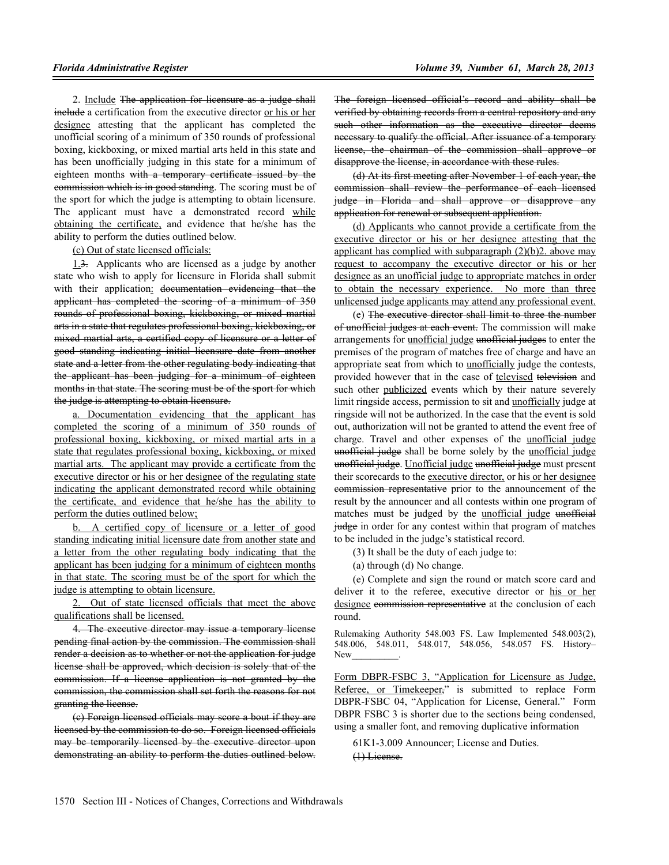2. Include The application for licensure as a judge shall include a certification from the executive director or his or her designee attesting that the applicant has completed the unofficial scoring of a minimum of 350 rounds of professional boxing, kickboxing, or mixed martial arts held in this state and has been unofficially judging in this state for a minimum of eighteen months with a temporary certificate issued by the commission which is in good standing. The scoring must be of the sport for which the judge is attempting to obtain licensure. The applicant must have a demonstrated record while obtaining the certificate, and evidence that he/she has the ability to perform the duties outlined below.

(c) Out of state licensed officials:

1.3. Applicants who are licensed as a judge by another state who wish to apply for licensure in Florida shall submit with their application: documentation evidencing that the applicant has completed the scoring of a minimum of 350 rounds of professional boxing, kickboxing, or mixed martial arts in a state that regulates professional boxing, kickboxing, or mixed martial arts, a certified copy of licensure or a letter of good standing indicating initial licensure date from another state and a letter from the other regulating body indicating that the applicant has been judging for a minimum of eighteen months in that state. The scoring must be of the sport for which the judge is attempting to obtain licensure.

a. Documentation evidencing that the applicant has completed the scoring of a minimum of 350 rounds of professional boxing, kickboxing, or mixed martial arts in a state that regulates professional boxing, kickboxing, or mixed martial arts. The applicant may provide a certificate from the executive director or his or her designee of the regulating state indicating the applicant demonstrated record while obtaining the certificate, and evidence that he/she has the ability to perform the duties outlined below;

b. A certified copy of licensure or a letter of good standing indicating initial licensure date from another state and a letter from the other regulating body indicating that the applicant has been judging for a minimum of eighteen months in that state. The scoring must be of the sport for which the judge is attempting to obtain licensure.

2. Out of state licensed officials that meet the above qualifications shall be licensed.

4. The executive director may issue a temporary license pending final action by the commission. The commission shall render a decision as to whether or not the application for judge license shall be approved, which decision is solely that of the commission. If a license application is not granted by the commission, the commission shall set forth the reasons for not granting the license.

(c) Foreign licensed officials may score a bout if they are licensed by the commission to do so. Foreign licensed officials may be temporarily licensed by the executive director upon demonstrating an ability to perform the duties outlined below. The foreign licensed official's record and ability shall be verified by obtaining records from a central repository and any such other information as the executive director deems necessary to qualify the official. After issuance of a temporary license, the chairman of the commission shall approve or disapprove the license, in accordance with these rules.

(d) At its first meeting after November 1 of each year, the commission shall review the performance of each licensed judge in Florida and shall approve or disapprove any application for renewal or subsequent application.

(d) Applicants who cannot provide a certificate from the executive director or his or her designee attesting that the applicant has complied with subparagraph (2)(b)2. above may request to accompany the executive director or his or her designee as an unofficial judge to appropriate matches in order to obtain the necessary experience. No more than three unlicensed judge applicants may attend any professional event.

(e) The executive director shall limit to three the number of unofficial judges at each event. The commission will make arrangements for *unofficial judge* unofficial judges to enter the premises of the program of matches free of charge and have an appropriate seat from which to **unofficially** judge the contests, provided however that in the case of televised television and such other publicized events which by their nature severely limit ringside access, permission to sit and unofficially judge at ringside will not be authorized. In the case that the event is sold out, authorization will not be granted to attend the event free of charge. Travel and other expenses of the unofficial judge unofficial judge shall be borne solely by the unofficial judge unofficial judge. Unofficial judge unofficial judge must present their scorecards to the executive director, or his or her designee commission representative prior to the announcement of the result by the announcer and all contests within one program of matches must be judged by the unofficial judge unofficial judge in order for any contest within that program of matches to be included in the judge's statistical record.

(3) It shall be the duty of each judge to:

(a) through (d) No change.

(e) Complete and sign the round or match score card and deliver it to the referee, executive director or his or her designee commission representative at the conclusion of each round.

Rulemaking Authority 548.003 FS. Law Implemented 548.003(2), 548.006, 548.011, 548.017, 548.056, 548.057 FS. History– New\_\_\_\_\_\_\_\_\_\_.

Form DBPR-FSBC 3, "Application for Licensure as Judge, Referee, or Timekeeper," is submitted to replace Form DBPR-FSBC 04, "Application for License, General." Form DBPR FSBC 3 is shorter due to the sections being condensed, using a smaller font, and removing duplicative information

61K1-3.009 Announcer; License and Duties. (1) License.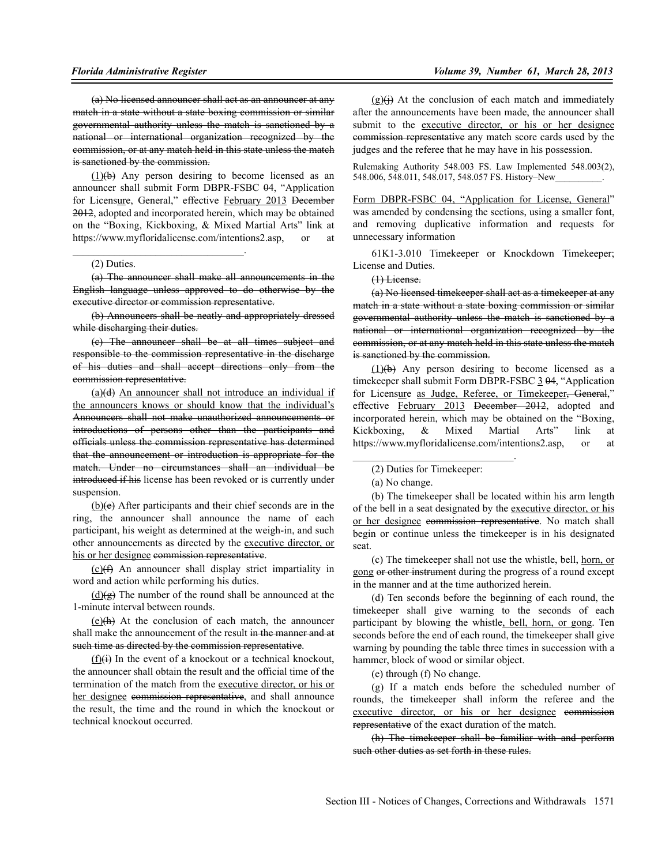(a) No licensed announcer shall act as an announcer at any match in a state without a state boxing commission or similar governmental authority unless the match is sanctioned by a national or international organization recognized by the commission, or at any match held in this state unless the match is sanctioned by the commission.

 $(1)(b)$  Any person desiring to become licensed as an announcer shall submit Form DBPR-FSBC 04, "Application for Licensure, General," effective February 2013 December 2012, adopted and incorporated herein, which may be obtained on the "Boxing, Kickboxing, & Mixed Martial Arts" link at https://www.myfloridalicense.com/intentions2.asp, or at

#### (2) Duties.

 $\mathcal{L}_\text{max}$  and  $\mathcal{L}_\text{max}$  and  $\mathcal{L}_\text{max}$  and  $\mathcal{L}_\text{max}$ 

(a) The announcer shall make all announcements in the English language unless approved to do otherwise by the executive director or commission representative.

(b) Announcers shall be neatly and appropriately dressed while discharging their duties.

(c) The announcer shall be at all times subject and responsible to the commission representative in the discharge of his duties and shall accept directions only from the commission representative.

 $(a)(d)$  An announcer shall not introduce an individual if the announcers knows or should know that the individual's Announcers shall not make unauthorized announcements or introductions of persons other than the participants and officials unless the commission representative has determined that the announcement or introduction is appropriate for the match. Under no circumstances shall an individual be introduced if his license has been revoked or is currently under suspension.

(b)(e) After participants and their chief seconds are in the ring, the announcer shall announce the name of each participant, his weight as determined at the weigh-in, and such other announcements as directed by the executive director, or his or her designee commission representative.

(c)(f) An announcer shall display strict impartiality in word and action while performing his duties.

 $(d)(\theta)$  The number of the round shall be announced at the 1-minute interval between rounds.

 $(e)$ (h) At the conclusion of each match, the announcer shall make the announcement of the result in the manner and at such time as directed by the commission representative.

 $(f)(i)$  In the event of a knockout or a technical knockout, the announcer shall obtain the result and the official time of the termination of the match from the executive director, or his or her designee commission representative, and shall announce the result, the time and the round in which the knockout or technical knockout occurred.

 $(g)(i)$  At the conclusion of each match and immediately after the announcements have been made, the announcer shall submit to the executive director, or his or her designee commission representative any match score cards used by the judges and the referee that he may have in his possession.

Rulemaking Authority 548.003 FS. Law Implemented 548.003(2), 548.006, 548.011, 548.017, 548.057 FS. History–New

Form DBPR-FSBC 04, "Application for License, General" was amended by condensing the sections, using a smaller font, and removing duplicative information and requests for unnecessary information

61K1-3.010 Timekeeper or Knockdown Timekeeper; License and Duties.

#### (1) License.

(a) No licensed timekeeper shall act as a timekeeper at any match in a state without a state boxing commission or similar governmental authority unless the match is sanctioned by a national or international organization recognized by the commission, or at any match held in this state unless the match is sanctioned by the commission.

 $(1)(b)$  Any person desiring to become licensed as a timekeeper shall submit Form DBPR-FSBC  $3\,$   $0\,$ 4, "Application for Licensure as Judge, Referee, or Timekeeper<del>, General</del>," effective February 2013 December 2012, adopted and incorporated herein, which may be obtained on the "Boxing, Kickboxing, & Mixed Martial Arts" link at https://www.myfloridalicense.com/intentions2.asp, or at

(2) Duties for Timekeeper:

 $\mathcal{L}_\text{max}$  and  $\mathcal{L}_\text{max}$  and  $\mathcal{L}_\text{max}$  and  $\mathcal{L}_\text{max}$ 

(b) The timekeeper shall be located within his arm length of the bell in a seat designated by the executive director, or his or her designee commission representative. No match shall begin or continue unless the timekeeper is in his designated seat.

(c) The timekeeper shall not use the whistle, bell, horn, or gong or other instrument during the progress of a round except in the manner and at the time authorized herein.

(d) Ten seconds before the beginning of each round, the timekeeper shall give warning to the seconds of each participant by blowing the whistle, bell, horn, or gong. Ten seconds before the end of each round, the timekeeper shall give warning by pounding the table three times in succession with a hammer, block of wood or similar object.

(e) through (f) No change.

(g) If a match ends before the scheduled number of rounds, the timekeeper shall inform the referee and the executive director, or his or her designee commission representative of the exact duration of the match.

(h) The timekeeper shall be familiar with and perform such other duties as set forth in these rules.

<sup>(</sup>a) No change.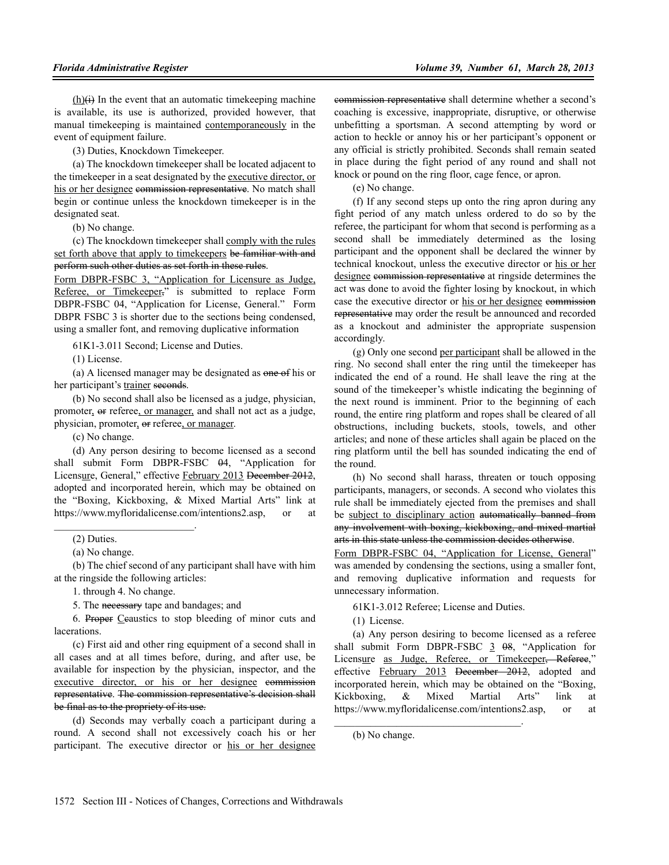$(h)(i)$  In the event that an automatic timekeeping machine is available, its use is authorized, provided however, that manual timekeeping is maintained contemporaneously in the event of equipment failure.

(3) Duties, Knockdown Timekeeper.

(a) The knockdown timekeeper shall be located adjacent to the timekeeper in a seat designated by the executive director, or his or her designee commission representative. No match shall begin or continue unless the knockdown timekeeper is in the designated seat.

(b) No change.

(c) The knockdown timekeeper shall comply with the rules set forth above that apply to timekeepers be familiar with and perform such other duties as set forth in these rules.

Form DBPR-FSBC 3, "Application for Licensure as Judge, Referee, or Timekeeper," is submitted to replace Form DBPR-FSBC 04, "Application for License, General." Form DBPR FSBC 3 is shorter due to the sections being condensed, using a smaller font, and removing duplicative information

61K1-3.011 Second; License and Duties.

(1) License.

(a) A licensed manager may be designated as one of his or her participant's trainer seconds.

(b) No second shall also be licensed as a judge, physician, promoter, or referee, or manager, and shall not act as a judge, physician, promoter, or referee, or manager.

(c) No change.

(d) Any person desiring to become licensed as a second shall submit Form DBPR-FSBC  $\theta$ 4, "Application for Licensure, General," effective February 2013 December 2012, adopted and incorporated herein, which may be obtained on the "Boxing, Kickboxing, & Mixed Martial Arts" link at https://www.myfloridalicense.com/intentions2.asp, or at

(b) The chief second of any participant shall have with him at the ringside the following articles:

1. through 4. No change.

 $\mathcal{L}_\text{max}$  and  $\mathcal{L}_\text{max}$  and  $\mathcal{L}_\text{max}$ 

5. The necessary tape and bandages; and

6. Proper Ccaustics to stop bleeding of minor cuts and lacerations.

(c) First aid and other ring equipment of a second shall in all cases and at all times before, during, and after use, be available for inspection by the physician, inspector, and the executive director, or his or her designee commission representative. The commission representative's decision shall be final as to the propriety of its use.

(d) Seconds may verbally coach a participant during a round. A second shall not excessively coach his or her participant. The executive director or his or her designee commission representative shall determine whether a second's coaching is excessive, inappropriate, disruptive, or otherwise unbefitting a sportsman. A second attempting by word or action to heckle or annoy his or her participant's opponent or any official is strictly prohibited. Seconds shall remain seated in place during the fight period of any round and shall not knock or pound on the ring floor, cage fence, or apron.

(e) No change.

(f) If any second steps up onto the ring apron during any fight period of any match unless ordered to do so by the referee, the participant for whom that second is performing as a second shall be immediately determined as the losing participant and the opponent shall be declared the winner by technical knockout, unless the executive director or his or her designee commission representative at ringside determines the act was done to avoid the fighter losing by knockout, in which case the executive director or his or her designee commission representative may order the result be announced and recorded as a knockout and administer the appropriate suspension accordingly.

(g) Only one second per participant shall be allowed in the ring. No second shall enter the ring until the timekeeper has indicated the end of a round. He shall leave the ring at the sound of the timekeeper's whistle indicating the beginning of the next round is imminent. Prior to the beginning of each round, the entire ring platform and ropes shall be cleared of all obstructions, including buckets, stools, towels, and other articles; and none of these articles shall again be placed on the ring platform until the bell has sounded indicating the end of the round.

(h) No second shall harass, threaten or touch opposing participants, managers, or seconds. A second who violates this rule shall be immediately ejected from the premises and shall be subject to disciplinary action automatically banned from any involvement with boxing, kickboxing, and mixed martial arts in this state unless the commission decides otherwise.

Form DBPR-FSBC 04, "Application for License, General" was amended by condensing the sections, using a smaller font, and removing duplicative information and requests for unnecessary information.

61K1-3.012 Referee; License and Duties.

 $\mathcal{L}_\text{max}$  and  $\mathcal{L}_\text{max}$  and  $\mathcal{L}_\text{max}$  and  $\mathcal{L}_\text{max}$ 

(1) License.

(a) Any person desiring to become licensed as a referee shall submit Form DBPR-FSBC  $\frac{3}{5}$   $\frac{68}{5}$ , "Application for Licensure as Judge, Referee, or Timekeeper, Referee," effective February 2013 December 2012, adopted and incorporated herein, which may be obtained on the "Boxing, Kickboxing, & Mixed Martial Arts" link at https://www.myfloridalicense.com/intentions2.asp, or at

<sup>(2)</sup> Duties.

<sup>(</sup>a) No change.

<sup>(</sup>b) No change.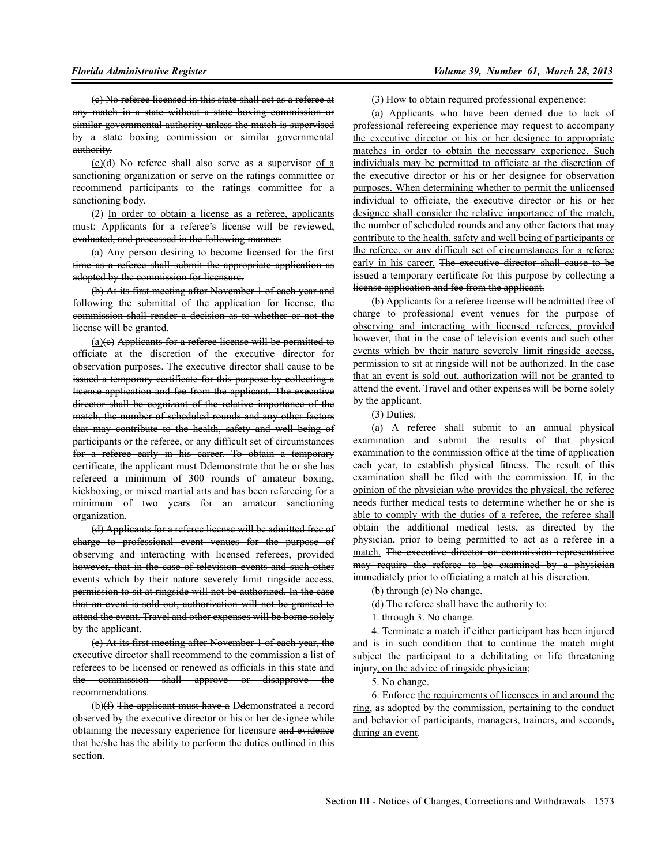(c) No referee licensed in this state shall act as a referee at any match in a state without a state boxing commission or similar governmental authority unless the match is supervised by a state boxing commission or similar governmental authority.

 $(c)(d)$  No referee shall also serve as a supervisor of a sanctioning organization or serve on the ratings committee or recommend participants to the ratings committee for a sanctioning body.

(2) In order to obtain a license as a referee, applicants must: Applicants for a referee's license will be reviewed, evaluated, and processed in the following manner:

(a) Any person desiring to become licensed for the first time as a referee shall submit the appropriate application as adopted by the commission for licensure.

(b) At its first meeting after November 1 of each year and following the submittal of the application for license, the commission shall render a decision as to whether or not the license will be granted.

 $(a)(e)$  Applicants for a referee license will be permitted to officiate at the discretion of the executive director for observation purposes. The executive director shall cause to be issued a temporary certificate for this purpose by collecting a license application and fee from the applicant. The executive director shall be cognizant of the relative importance of the match, the number of scheduled rounds and any other factors that may contribute to the health, safety and well being of participants or the referee, or any difficult set of circumstances for a referee early in his career. To obtain a temporary certificate, the applicant must Ddemonstrate that he or she has refereed a minimum of 300 rounds of amateur boxing, kickboxing, or mixed martial arts and has been refereeing for a minimum of two years for an amateur sanctioning organization.

(d) Applicants for a referee license will be admitted free of charge to professional event venues for the purpose of observing and interacting with licensed referees, provided however, that in the case of television events and such other events which by their nature severely limit ringside access, permission to sit at ringside will not be authorized. In the case that an event is sold out, authorization will not be granted to attend the event. Travel and other expenses will be borne solely by the applicant.

(e) At its first meeting after November 1 of each year, the executive director shall recommend to the commission a list of referees to be licensed or renewed as officials in this state and the commission shall approve or disapprove the recommendations.

(b)(f) The applicant must have a Ddemonstrated a record observed by the executive director or his or her designee while obtaining the necessary experience for licensure and evidence that he/she has the ability to perform the duties outlined in this section.

(3) How to obtain required professional experience:

(a) Applicants who have been denied due to lack of professional refereeing experience may request to accompany the executive director or his or her designee to appropriate matches in order to obtain the necessary experience. Such individuals may be permitted to officiate at the discretion of the executive director or his or her designee for observation purposes. When determining whether to permit the unlicensed individual to officiate, the executive director or his or her designee shall consider the relative importance of the match, the number of scheduled rounds and any other factors that may contribute to the health, safety and well being of participants or the referee, or any difficult set of circumstances for a referee early in his career. The executive director shall cause to be issued a temporary certificate for this purpose by collecting a license application and fee from the applicant.

(b) Applicants for a referee license will be admitted free of charge to professional event venues for the purpose of observing and interacting with licensed referees, provided however, that in the case of television events and such other events which by their nature severely limit ringside access, permission to sit at ringside will not be authorized. In the case that an event is sold out, authorization will not be granted to attend the event. Travel and other expenses will be borne solely by the applicant.

(3) Duties.

(a) A referee shall submit to an annual physical examination and submit the results of that physical examination to the commission office at the time of application each year, to establish physical fitness. The result of this examination shall be filed with the commission. If, in the opinion of the physician who provides the physical, the referee needs further medical tests to determine whether he or she is able to comply with the duties of a referee, the referee shall obtain the additional medical tests, as directed by the physician, prior to being permitted to act as a referee in a match. The executive director or commission representative may require the referee to be examined by a physician immediately prior to officiating a match at his discretion.

(b) through (c) No change.

(d) The referee shall have the authority to:

1. through 3. No change.

4. Terminate a match if either participant has been injured and is in such condition that to continue the match might subject the participant to a debilitating or life threatening injury, on the advice of ringside physician;

5. No change.

6. Enforce the requirements of licensees in and around the ring, as adopted by the commission, pertaining to the conduct and behavior of participants, managers, trainers, and seconds, during an event.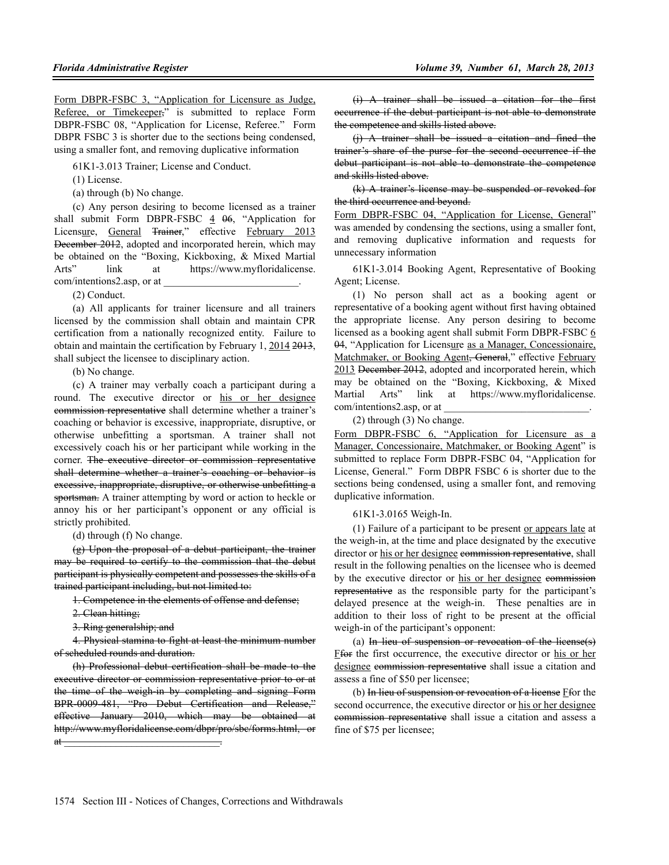Form DBPR-FSBC 3, "Application for Licensure as Judge, Referee, or Timekeeper," is submitted to replace Form DBPR-FSBC 08, "Application for License, Referee." Form DBPR FSBC 3 is shorter due to the sections being condensed, using a smaller font, and removing duplicative information

61K1-3.013 Trainer; License and Conduct.

(1) License.

(a) through (b) No change.

(c) Any person desiring to become licensed as a trainer shall submit Form DBPR-FSBC 4 06, "Application for Licensure, General Trainer," effective February 2013 December 2012, adopted and incorporated herein, which may be obtained on the "Boxing, Kickboxing, & Mixed Martial Arts" link at https://www.myfloridalicense. com/intentions2.asp, or at

(2) Conduct.

(a) All applicants for trainer licensure and all trainers licensed by the commission shall obtain and maintain CPR certification from a nationally recognized entity. Failure to obtain and maintain the certification by February 1, 2014 2013, shall subject the licensee to disciplinary action.

(b) No change.

(c) A trainer may verbally coach a participant during a round. The executive director or his or her designee commission representative shall determine whether a trainer's coaching or behavior is excessive, inappropriate, disruptive, or otherwise unbefitting a sportsman. A trainer shall not excessively coach his or her participant while working in the corner. The executive director or commission representative shall determine whether a trainer's coaching or behavior is excessive, inappropriate, disruptive, or otherwise unbefitting a sportsman. A trainer attempting by word or action to heckle or annoy his or her participant's opponent or any official is strictly prohibited.

(d) through (f) No change.

(g) Upon the proposal of a debut participant, the trainer may be required to certify to the commission that the debut participant is physically competent and possesses the skills of a trained participant including, but not limited to:

1. Competence in the elements of offense and defense;

2. Clean hitting;

3. Ring generalship; and

4. Physical stamina to fight at least the minimum number of scheduled rounds and duration.

(h) Professional debut certification shall be made to the executive director or commission representative prior to or at the time of the weigh-in by completing and signing Form BPR-0009-481, "Pro Debut Certification and Release," effective January 2010, which may be obtained at http://www.myfloridalicense.com/dbpr/pro/sbc/forms.html, or  $\mathfrak{a}$ t $\qquad \qquad$ 

(i) A trainer shall be issued a citation for the first occurrence if the debut participant is not able to demonstrate the competence and skills listed above.

(j) A trainer shall be issued a citation and fined the trainer's share of the purse for the second occurrence if the debut participant is not able to demonstrate the competence and skills listed above.

(k) A trainer's license may be suspended or revoked for the third occurrence and beyond.

Form DBPR-FSBC 04, "Application for License, General" was amended by condensing the sections, using a smaller font, and removing duplicative information and requests for unnecessary information

61K1-3.014 Booking Agent, Representative of Booking Agent; License.

(1) No person shall act as a booking agent or representative of a booking agent without first having obtained the appropriate license. Any person desiring to become licensed as a booking agent shall submit Form DBPR-FSBC 6 04, "Application for Licensure as a Manager, Concessionaire, Matchmaker, or Booking Agent<del>, General</del>," effective February 2013 December 2012, adopted and incorporated herein, which may be obtained on the "Boxing, Kickboxing, & Mixed Martial Arts" link at https://www.myfloridalicense. com/intentions2.asp, or at

(2) through (3) No change.

Form DBPR-FSBC 6, "Application for Licensure as a Manager, Concessionaire, Matchmaker, or Booking Agent" is submitted to replace Form DBPR-FSBC 04, "Application for License, General." Form DBPR FSBC 6 is shorter due to the sections being condensed, using a smaller font, and removing duplicative information.

61K1-3.0165 Weigh-In.

(1) Failure of a participant to be present or appears late at the weigh-in, at the time and place designated by the executive director or his or her designee commission representative, shall result in the following penalties on the licensee who is deemed by the executive director or his or her designee commission representative as the responsible party for the participant's delayed presence at the weigh-in. These penalties are in addition to their loss of right to be present at the official weigh-in of the participant's opponent:

(a) In lieu of suspension or revocation of the license(s) Ffor the first occurrence, the executive director or his or her designee commission representative shall issue a citation and assess a fine of \$50 per licensee;

(b) In lieu of suspension or revocation of a license Ffor the second occurrence, the executive director or his or her designee commission representative shall issue a citation and assess a fine of \$75 per licensee;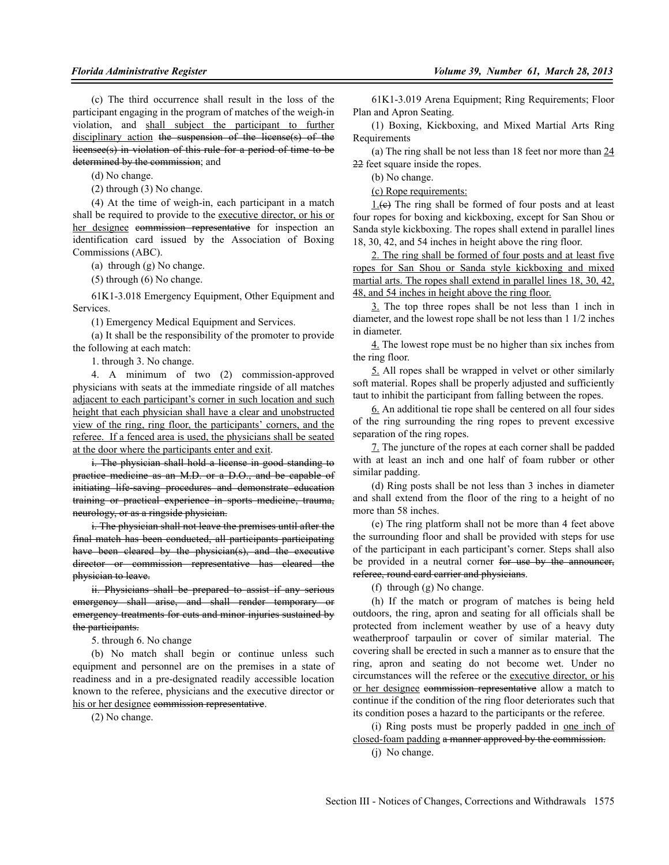(c) The third occurrence shall result in the loss of the participant engaging in the program of matches of the weigh-in violation, and shall subject the participant to further disciplinary action the suspension of the license(s) of the licensee(s) in violation of this rule for a period of time to be determined by the commission; and

(d) No change.

(2) through (3) No change.

(4) At the time of weigh-in, each participant in a match shall be required to provide to the executive director, or his or her designee commission representative for inspection an identification card issued by the Association of Boxing Commissions (ABC).

(a) through (g) No change.

(5) through (6) No change.

61K1-3.018 Emergency Equipment, Other Equipment and Services.

(1) Emergency Medical Equipment and Services.

(a) It shall be the responsibility of the promoter to provide the following at each match:

1. through 3. No change.

4. A minimum of two (2) commission-approved physicians with seats at the immediate ringside of all matches adjacent to each participant's corner in such location and such height that each physician shall have a clear and unobstructed view of the ring, ring floor, the participants' corners, and the referee. If a fenced area is used, the physicians shall be seated at the door where the participants enter and exit.

i. The physician shall hold a license in good standing to practice medicine as an M.D. or a D.O., and be capable of initiating life-saving procedures and demonstrate education training or practical experience in sports medicine, trauma, neurology, or as a ringside physician.

i. The physician shall not leave the premises until after the final match has been conducted, all participants participating have been cleared by the physician(s), and the executive director or commission representative has eleared the physician to leave.

ii. Physicians shall be prepared to assist if any serious emergency shall arise, and shall render temporary or emergency treatments for cuts and minor injuries sustained by the participants.

5. through 6. No change

(b) No match shall begin or continue unless such equipment and personnel are on the premises in a state of readiness and in a pre-designated readily accessible location known to the referee, physicians and the executive director or his or her designee commission representative.

(2) No change.

61K1-3.019 Arena Equipment; Ring Requirements; Floor Plan and Apron Seating.

(1) Boxing, Kickboxing, and Mixed Martial Arts Ring Requirements

(a) The ring shall be not less than 18 feet nor more than 24 22 feet square inside the ropes.

(b) No change.

(c) Rope requirements:

1.(c) The ring shall be formed of four posts and at least four ropes for boxing and kickboxing, except for San Shou or Sanda style kickboxing. The ropes shall extend in parallel lines 18, 30, 42, and 54 inches in height above the ring floor.

2. The ring shall be formed of four posts and at least five ropes for San Shou or Sanda style kickboxing and mixed martial arts. The ropes shall extend in parallel lines 18, 30, 42, 48, and 54 inches in height above the ring floor.

3. The top three ropes shall be not less than 1 inch in diameter, and the lowest rope shall be not less than 1 1/2 inches in diameter.

4. The lowest rope must be no higher than six inches from the ring floor.

5. All ropes shall be wrapped in velvet or other similarly soft material. Ropes shall be properly adjusted and sufficiently taut to inhibit the participant from falling between the ropes.

6. An additional tie rope shall be centered on all four sides of the ring surrounding the ring ropes to prevent excessive separation of the ring ropes.

7. The juncture of the ropes at each corner shall be padded with at least an inch and one half of foam rubber or other similar padding.

(d) Ring posts shall be not less than 3 inches in diameter and shall extend from the floor of the ring to a height of no more than 58 inches.

(e) The ring platform shall not be more than 4 feet above the surrounding floor and shall be provided with steps for use of the participant in each participant's corner. Steps shall also be provided in a neutral corner for use by the announcer, referee, round card carrier and physicians.

(f) through (g) No change.

(h) If the match or program of matches is being held outdoors, the ring, apron and seating for all officials shall be protected from inclement weather by use of a heavy duty weatherproof tarpaulin or cover of similar material. The covering shall be erected in such a manner as to ensure that the ring, apron and seating do not become wet. Under no circumstances will the referee or the executive director, or his or her designee commission representative allow a match to continue if the condition of the ring floor deteriorates such that its condition poses a hazard to the participants or the referee.

(i) Ring posts must be properly padded in one inch of closed-foam padding a manner approved by the commission. (j) No change.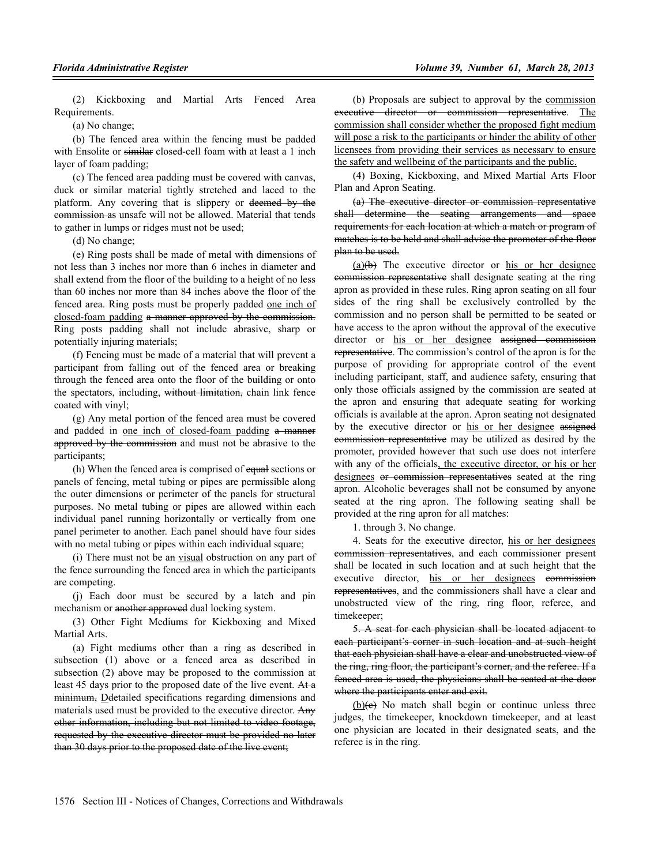(2) Kickboxing and Martial Arts Fenced Area Requirements.

(a) No change;

(b) The fenced area within the fencing must be padded with Ensolite or similar closed-cell foam with at least a 1 inch layer of foam padding;

(c) The fenced area padding must be covered with canvas, duck or similar material tightly stretched and laced to the platform. Any covering that is slippery or deemed by the commission as unsafe will not be allowed. Material that tends to gather in lumps or ridges must not be used;

(d) No change;

(e) Ring posts shall be made of metal with dimensions of not less than 3 inches nor more than 6 inches in diameter and shall extend from the floor of the building to a height of no less than 60 inches nor more than 84 inches above the floor of the fenced area. Ring posts must be properly padded one inch of closed-foam padding a manner approved by the commission. Ring posts padding shall not include abrasive, sharp or potentially injuring materials;

(f) Fencing must be made of a material that will prevent a participant from falling out of the fenced area or breaking through the fenced area onto the floor of the building or onto the spectators, including, without limitation, chain link fence coated with vinyl;

(g) Any metal portion of the fenced area must be covered and padded in one inch of closed-foam padding a manner approved by the commission and must not be abrasive to the participants;

(h) When the fenced area is comprised of equal sections or panels of fencing, metal tubing or pipes are permissible along the outer dimensions or perimeter of the panels for structural purposes. No metal tubing or pipes are allowed within each individual panel running horizontally or vertically from one panel perimeter to another. Each panel should have four sides with no metal tubing or pipes within each individual square;

(i) There must not be an visual obstruction on any part of the fence surrounding the fenced area in which the participants are competing.

(j) Each door must be secured by a latch and pin mechanism or another approved dual locking system.

(3) Other Fight Mediums for Kickboxing and Mixed Martial Arts.

(a) Fight mediums other than a ring as described in subsection (1) above or a fenced area as described in subsection (2) above may be proposed to the commission at least 45 days prior to the proposed date of the live event. At a minimum. Detailed specifications regarding dimensions and materials used must be provided to the executive director. Any other information, including but not limited to video footage, requested by the executive director must be provided no later than 30 days prior to the proposed date of the live event;

(b) Proposals are subject to approval by the commission executive director or commission representative. The commission shall consider whether the proposed fight medium will pose a risk to the participants or hinder the ability of other licensees from providing their services as necessary to ensure the safety and wellbeing of the participants and the public.

(4) Boxing, Kickboxing, and Mixed Martial Arts Floor Plan and Apron Seating.

(a) The executive director or commission representative shall determine the seating arrangements and space requirements for each location at which a match or program of matches is to be held and shall advise the promoter of the floor plan to be used.

 $(a)(b)$  The executive director or his or her designee commission representative shall designate seating at the ring apron as provided in these rules. Ring apron seating on all four sides of the ring shall be exclusively controlled by the commission and no person shall be permitted to be seated or have access to the apron without the approval of the executive director or his or her designee assigned commission representative. The commission's control of the apron is for the purpose of providing for appropriate control of the event including participant, staff, and audience safety, ensuring that only those officials assigned by the commission are seated at the apron and ensuring that adequate seating for working officials is available at the apron. Apron seating not designated by the executive director or his or her designee assigned commission representative may be utilized as desired by the promoter, provided however that such use does not interfere with any of the officials, the executive director, or his or her designees or commission representatives seated at the ring apron. Alcoholic beverages shall not be consumed by anyone seated at the ring apron. The following seating shall be provided at the ring apron for all matches:

1. through 3. No change.

4. Seats for the executive director, his or her designees commission representatives, and each commissioner present shall be located in such location and at such height that the executive director, his or her designees commission representatives, and the commissioners shall have a clear and unobstructed view of the ring, ring floor, referee, and timekeeper;

5. A seat for each physician shall be located adjacent to each participant's corner in such location and at such height that each physician shall have a clear and unobstructed view of the ring, ring floor, the participant's corner, and the referee. If a fenced area is used, the physicians shall be seated at the door where the participants enter and exit.

 $(b)(e)$  No match shall begin or continue unless three judges, the timekeeper, knockdown timekeeper, and at least one physician are located in their designated seats, and the referee is in the ring.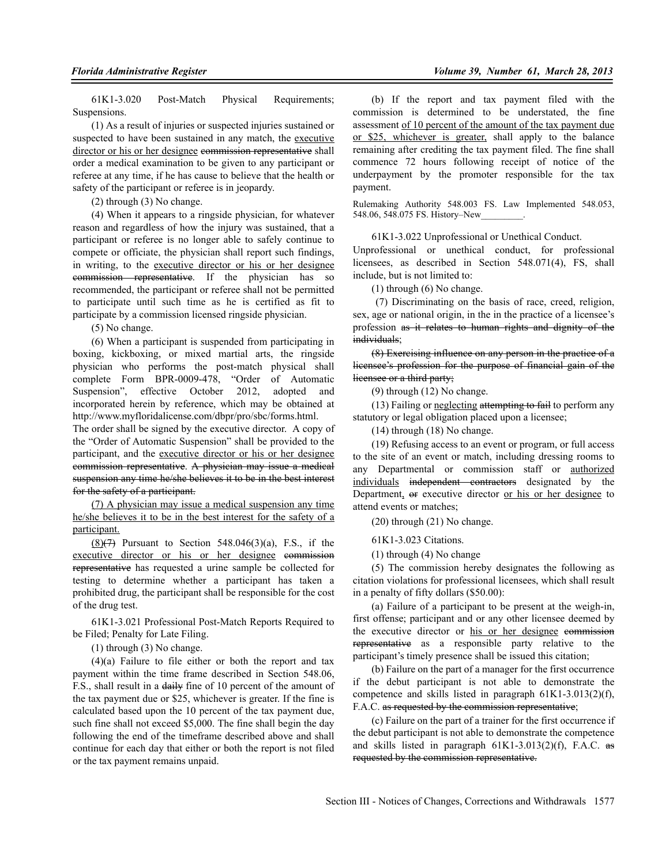61K1-3.020 Post-Match Physical Requirements; Suspensions.

(1) As a result of injuries or suspected injuries sustained or suspected to have been sustained in any match, the executive director or his or her designee commission representative shall order a medical examination to be given to any participant or referee at any time, if he has cause to believe that the health or safety of the participant or referee is in jeopardy.

(2) through (3) No change.

(4) When it appears to a ringside physician, for whatever reason and regardless of how the injury was sustained, that a participant or referee is no longer able to safely continue to compete or officiate, the physician shall report such findings, in writing, to the executive director or his or her designee commission representative. If the physician has so recommended, the participant or referee shall not be permitted to participate until such time as he is certified as fit to participate by a commission licensed ringside physician.

(5) No change.

(6) When a participant is suspended from participating in boxing, kickboxing, or mixed martial arts, the ringside physician who performs the post-match physical shall complete Form BPR-0009-478, "Order of Automatic Suspension", effective October 2012, adopted and incorporated herein by reference, which may be obtained at http://www.myfloridalicense.com/dbpr/pro/sbc/forms.html.

The order shall be signed by the executive director. A copy of the "Order of Automatic Suspension" shall be provided to the participant, and the executive director or his or her designee commission representative. A physician may issue a medical suspension any time he/she believes it to be in the best interest for the safety of a participant.

(7) A physician may issue a medical suspension any time he/she believes it to be in the best interest for the safety of a participant.

 $(8)(7)$  Pursuant to Section 548.046 $(3)(a)$ , F.S., if the executive director or his or her designee commission representative has requested a urine sample be collected for testing to determine whether a participant has taken a prohibited drug, the participant shall be responsible for the cost of the drug test.

61K1-3.021 Professional Post-Match Reports Required to be Filed; Penalty for Late Filing.

(1) through (3) No change.

 $(4)(a)$  Failure to file either or both the report and tax payment within the time frame described in Section 548.06, F.S., shall result in a daily fine of 10 percent of the amount of the tax payment due or \$25, whichever is greater. If the fine is calculated based upon the 10 percent of the tax payment due, such fine shall not exceed \$5,000. The fine shall begin the day following the end of the timeframe described above and shall continue for each day that either or both the report is not filed or the tax payment remains unpaid.

(b) If the report and tax payment filed with the commission is determined to be understated, the fine assessment of 10 percent of the amount of the tax payment due or \$25, whichever is greater, shall apply to the balance remaining after crediting the tax payment filed. The fine shall commence 72 hours following receipt of notice of the underpayment by the promoter responsible for the tax payment.

Rulemaking Authority 548.003 FS. Law Implemented 548.053, 548.06, 548.075 FS. History–New\_\_\_\_\_\_\_\_\_.

61K1-3.022 Unprofessional or Unethical Conduct.

Unprofessional or unethical conduct, for professional licensees, as described in Section 548.071(4), FS, shall include, but is not limited to:

(1) through (6) No change.

 (7) Discriminating on the basis of race, creed, religion, sex, age or national origin, in the in the practice of a licensee's profession as it relates to human rights and dignity of the individuals;

(8) Exercising influence on any person in the practice of a licensee's profession for the purpose of financial gain of the licensee or a third party;

(9) through (12) No change.

(13) Failing or neglecting attempting to fail to perform any statutory or legal obligation placed upon a licensee;

(14) through (18) No change.

(19) Refusing access to an event or program, or full access to the site of an event or match, including dressing rooms to any Departmental or commission staff or authorized individuals independent contractors designated by the Department, or executive director or his or her designee to attend events or matches;

(20) through (21) No change.

61K1-3.023 Citations.

(1) through (4) No change

(5) The commission hereby designates the following as citation violations for professional licensees, which shall result in a penalty of fifty dollars (\$50.00):

(a) Failure of a participant to be present at the weigh-in, first offense; participant and or any other licensee deemed by the executive director or his or her designee commission representative as a responsible party relative to the participant's timely presence shall be issued this citation;

(b) Failure on the part of a manager for the first occurrence if the debut participant is not able to demonstrate the competence and skills listed in paragraph 61K1-3.013(2)(f), F.A.C. as requested by the commission representative;

(c) Failure on the part of a trainer for the first occurrence if the debut participant is not able to demonstrate the competence and skills listed in paragraph  $61K1-3.013(2)(f)$ , F.A.C. as requested by the commission representative.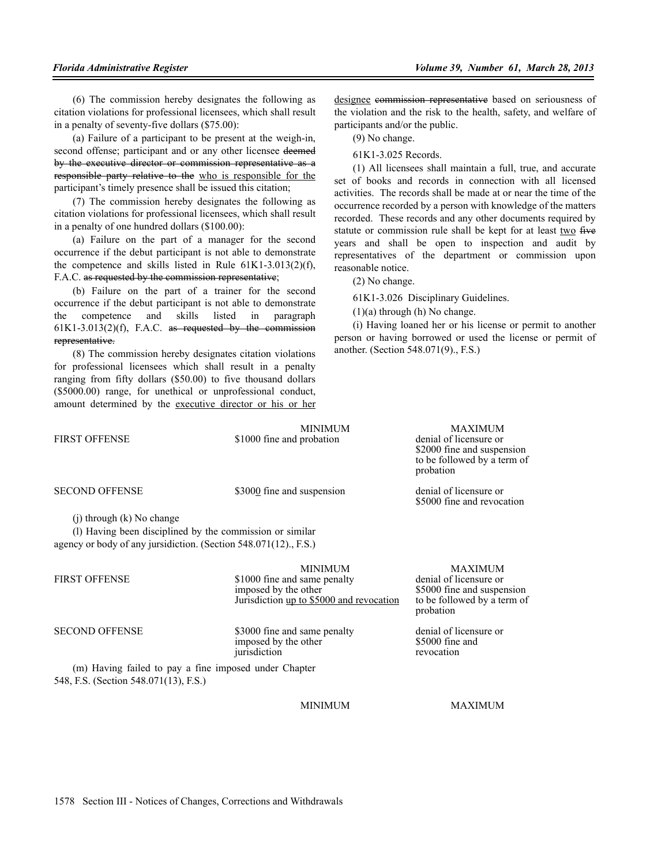(6) The commission hereby designates the following as citation violations for professional licensees, which shall result in a penalty of seventy-five dollars (\$75.00):

(a) Failure of a participant to be present at the weigh-in, second offense; participant and or any other licensee deemed by the executive director or commission representative as a responsible party relative to the who is responsible for the participant's timely presence shall be issued this citation;

(7) The commission hereby designates the following as citation violations for professional licensees, which shall result in a penalty of one hundred dollars (\$100.00):

(a) Failure on the part of a manager for the second occurrence if the debut participant is not able to demonstrate the competence and skills listed in Rule 61K1-3.013(2)(f), F.A.C. as requested by the commission representative;

(b) Failure on the part of a trainer for the second occurrence if the debut participant is not able to demonstrate the competence and skills listed in paragraph  $61K1-3.013(2)(f)$ , F.A.C. as requested by the commission representative.

(8) The commission hereby designates citation violations for professional licensees which shall result in a penalty ranging from fifty dollars (\$50.00) to five thousand dollars (\$5000.00) range, for unethical or unprofessional conduct, amount determined by the executive director or his or her designee commission representative based on seriousness of the violation and the risk to the health, safety, and welfare of participants and/or the public.

(9) No change.

61K1-3.025 Records.

(1) All licensees shall maintain a full, true, and accurate set of books and records in connection with all licensed activities. The records shall be made at or near the time of the occurrence recorded by a person with knowledge of the matters recorded. These records and any other documents required by statute or commission rule shall be kept for at least two five years and shall be open to inspection and audit by representatives of the department or commission upon reasonable notice.

(2) No change.

61K1-3.026 Disciplinary Guidelines.

probation

 $(1)(a)$  through  $(h)$  No change.

(i) Having loaned her or his license or permit to another person or having borrowed or used the license or permit of another. (Section 548.071(9)., F.S.)

> \$2000 fine and suspension to be followed by a term of

\$5000 fine and revocation

MINIMUM MAXIMUM<br>probation denial of licensure or FIRST OFFENSE \$1000 fine and probation

SECOND OFFENSE \$3000 fine and suspension denial of licensure or

(j) through (k) No change

(l) Having been disciplined by the commission or similar agency or body of any jursidiction. (Section 548.071(12)., F.S.)

|                       | <b>MINIMUM</b>                                                                                   | <b>MAXIMUM</b>                                                                          |
|-----------------------|--------------------------------------------------------------------------------------------------|-----------------------------------------------------------------------------------------|
| <b>FIRST OFFENSE</b>  | \$1000 fine and same penalty<br>imposed by the other<br>Jurisdiction up to \$5000 and revocation | denial of licensure or<br>\$5000 fine and susper<br>to be followed by a te<br>probation |
| <b>CECOMD OFFEMEE</b> | $2000$ fine and came people                                                                      | donial of liganours or                                                                  |

SECOND OFFENSE \$3000 fine and same penalty denial of licensure or<br>imposed by the other \$5000 fine and imposed by the other \$5000 fine and \$5000 fine and \$5000 fine jurisdiction

(m) Having failed to pay a fine imposed under Chapter 548, F.S. (Section 548.071(13), F.S.)

MINIMUM MAXIMUM

MAXIMUM \$5000 fine and suspension to be followed by a term of probation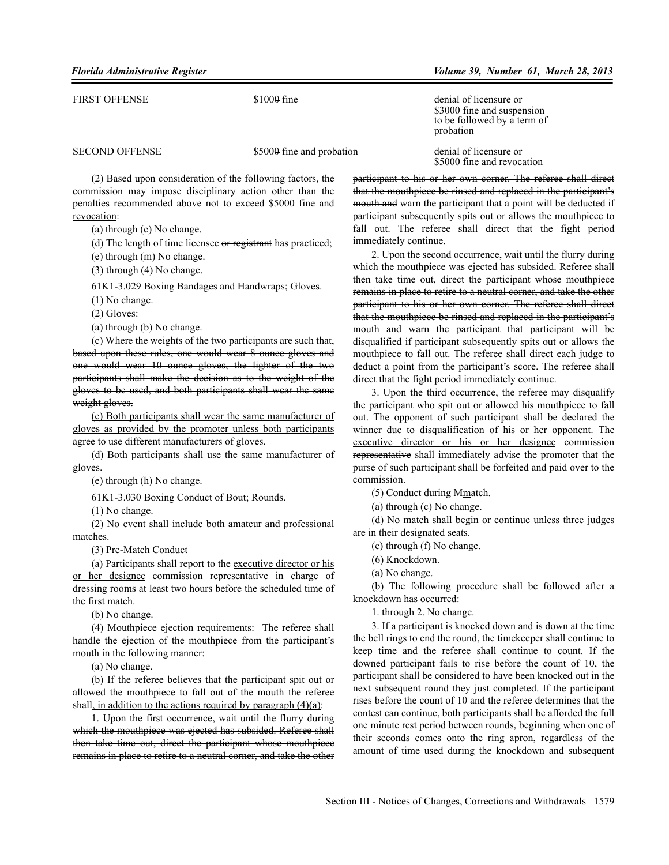| FIRST OFFENSE         | $$1000$ fine              | denial of licensure or<br>\$3000 fine and suspension<br>to be followed by a term of<br>probation |
|-----------------------|---------------------------|--------------------------------------------------------------------------------------------------|
| <b>SECOND OFFENSE</b> | \$5000 fine and probation | denial of licensure or<br>\$5000 fine and revocation                                             |

(2) Based upon consideration of the following factors, the commission may impose disciplinary action other than the penalties recommended above not to exceed \$5000 fine and revocation:

(a) through (c) No change.

(d) The length of time licensee or registrant has practiced;

(e) through (m) No change.

(3) through (4) No change.

61K1-3.029 Boxing Bandages and Handwraps; Gloves.

(1) No change.

(2) Gloves:

(a) through (b) No change.

(c) Where the weights of the two participants are such that, based upon these rules, one would wear 8 ounce gloves and one would wear 10 ounce gloves, the lighter of the two participants shall make the decision as to the weight of the gloves to be used, and both participants shall wear the same weight gloves.

(c) Both participants shall wear the same manufacturer of gloves as provided by the promoter unless both participants agree to use different manufacturers of gloves.

(d) Both participants shall use the same manufacturer of gloves.

(e) through (h) No change.

61K1-3.030 Boxing Conduct of Bout; Rounds.

(1) No change.

(2) No event shall include both amateur and professional matches.

(3) Pre-Match Conduct

(a) Participants shall report to the executive director or his or her designee commission representative in charge of dressing rooms at least two hours before the scheduled time of the first match.

(b) No change.

(4) Mouthpiece ejection requirements: The referee shall handle the ejection of the mouthpiece from the participant's mouth in the following manner:

(a) No change.

(b) If the referee believes that the participant spit out or allowed the mouthpiece to fall out of the mouth the referee shall, in addition to the actions required by paragraph  $(4)(a)$ :

1. Upon the first occurrence, wait until the flurry during which the mouthpiece was ejected has subsided. Referee shall then take time out, direct the participant whose mouthpiece remains in place to retire to a neutral corner, and take the other

participant to his or her own corner. The referee shall direct that the mouthpiece be rinsed and replaced in the participant's mouth and warn the participant that a point will be deducted if participant subsequently spits out or allows the mouthpiece to fall out. The referee shall direct that the fight period immediately continue.

2. Upon the second occurrence, wait until the flurry during which the mouthpiece was ejected has subsided. Referee shall then take time out, direct the participant whose mouthpiece remains in place to retire to a neutral corner, and take the other participant to his or her own corner. The referee shall direct that the mouthpiece be rinsed and replaced in the participant's mouth and warn the participant that participant will be disqualified if participant subsequently spits out or allows the mouthpiece to fall out. The referee shall direct each judge to deduct a point from the participant's score. The referee shall direct that the fight period immediately continue.

3. Upon the third occurrence, the referee may disqualify the participant who spit out or allowed his mouthpiece to fall out. The opponent of such participant shall be declared the winner due to disqualification of his or her opponent. The executive director or his or her designee commission representative shall immediately advise the promoter that the purse of such participant shall be forfeited and paid over to the commission.

(5) Conduct during Mmatch.

(a) through (c) No change.

(d) No match shall begin or continue unless three judges are in their designated seats.

(e) through (f) No change.

(6) Knockdown.

(a) No change.

(b) The following procedure shall be followed after a knockdown has occurred:

1. through 2. No change.

3. If a participant is knocked down and is down at the time the bell rings to end the round, the timekeeper shall continue to keep time and the referee shall continue to count. If the downed participant fails to rise before the count of 10, the participant shall be considered to have been knocked out in the next subsequent round they just completed. If the participant rises before the count of 10 and the referee determines that the contest can continue, both participants shall be afforded the full one minute rest period between rounds, beginning when one of their seconds comes onto the ring apron, regardless of the amount of time used during the knockdown and subsequent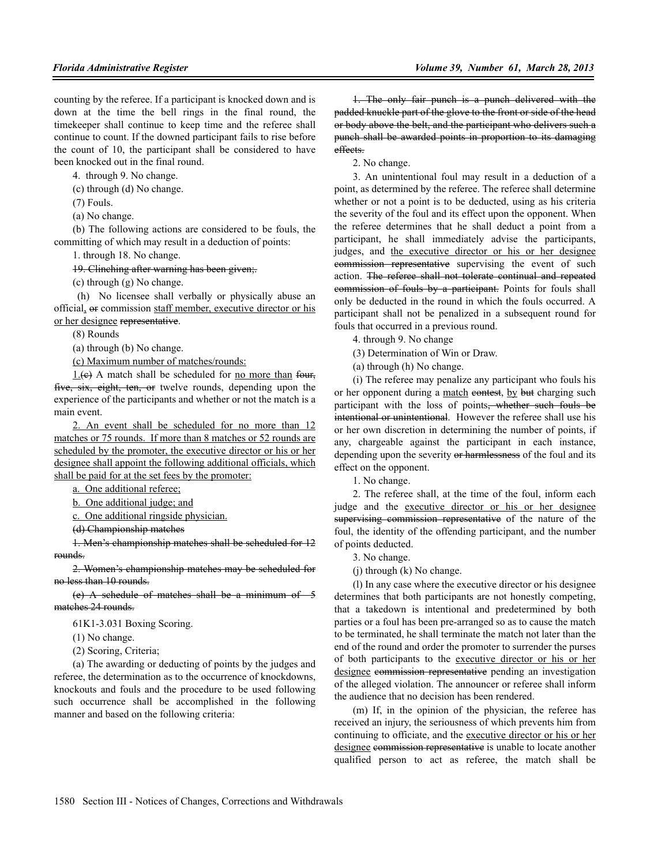counting by the referee. If a participant is knocked down and is down at the time the bell rings in the final round, the timekeeper shall continue to keep time and the referee shall continue to count. If the downed participant fails to rise before the count of 10, the participant shall be considered to have been knocked out in the final round.

4. through 9. No change.

(c) through (d) No change.

(7) Fouls.

(a) No change.

(b) The following actions are considered to be fouls, the committing of which may result in a deduction of points:

1. through 18. No change.

19. Clinching after warning has been given;.

(c) through (g) No change.

 (h) No licensee shall verbally or physically abuse an official, or commission staff member, executive director or his or her designee representative.

(8) Rounds

(a) through (b) No change.

(c) Maximum number of matches/rounds:

 $1.6$ ) A match shall be scheduled for no more than four, five, six, eight, ten, or twelve rounds, depending upon the experience of the participants and whether or not the match is a main event.

2. An event shall be scheduled for no more than 12 matches or 75 rounds. If more than 8 matches or 52 rounds are scheduled by the promoter, the executive director or his or her designee shall appoint the following additional officials, which shall be paid for at the set fees by the promoter:

a. One additional referee;

b. One additional judge; and

c. One additional ringside physician.

(d) Championship matches

1. Men's championship matches shall be scheduled for 12 rounds.

2. Women's championship matches may be scheduled for no less than 10 rounds.

(e) A schedule of matches shall be a minimum of 5 matches 24 rounds.

61K1-3.031 Boxing Scoring.

(1) No change.

(2) Scoring, Criteria;

(a) The awarding or deducting of points by the judges and referee, the determination as to the occurrence of knockdowns, knockouts and fouls and the procedure to be used following such occurrence shall be accomplished in the following manner and based on the following criteria:

1. The only fair punch is a punch delivered with the padded knuckle part of the glove to the front or side of the head or body above the belt, and the participant who delivers such a punch shall be awarded points in proportion to its damaging effects.

2. No change.

3. An unintentional foul may result in a deduction of a point, as determined by the referee. The referee shall determine whether or not a point is to be deducted, using as his criteria the severity of the foul and its effect upon the opponent. When the referee determines that he shall deduct a point from a participant, he shall immediately advise the participants, judges, and the executive director or his or her designee commission representative supervising the event of such action. The referee shall not tolerate continual and repeated commission of fouls by a participant. Points for fouls shall only be deducted in the round in which the fouls occurred. A participant shall not be penalized in a subsequent round for fouls that occurred in a previous round.

4. through 9. No change

(3) Determination of Win or Draw.

(a) through (h) No change.

(i) The referee may penalize any participant who fouls his or her opponent during a match contest, by but charging such participant with the loss of points<del>, whether such fouls be</del> intentional or unintentional. However the referee shall use his or her own discretion in determining the number of points, if any, chargeable against the participant in each instance, depending upon the severity or harmlessness of the foul and its effect on the opponent.

1. No change.

2. The referee shall, at the time of the foul, inform each judge and the executive director or his or her designee supervising commission representative of the nature of the foul, the identity of the offending participant, and the number of points deducted.

3. No change.

(j) through (k) No change.

(l) In any case where the executive director or his designee determines that both participants are not honestly competing, that a takedown is intentional and predetermined by both parties or a foul has been pre-arranged so as to cause the match to be terminated, he shall terminate the match not later than the end of the round and order the promoter to surrender the purses of both participants to the executive director or his or her designee commission representative pending an investigation of the alleged violation. The announcer or referee shall inform the audience that no decision has been rendered.

(m) If, in the opinion of the physician, the referee has received an injury, the seriousness of which prevents him from continuing to officiate, and the executive director or his or her designee commission representative is unable to locate another qualified person to act as referee, the match shall be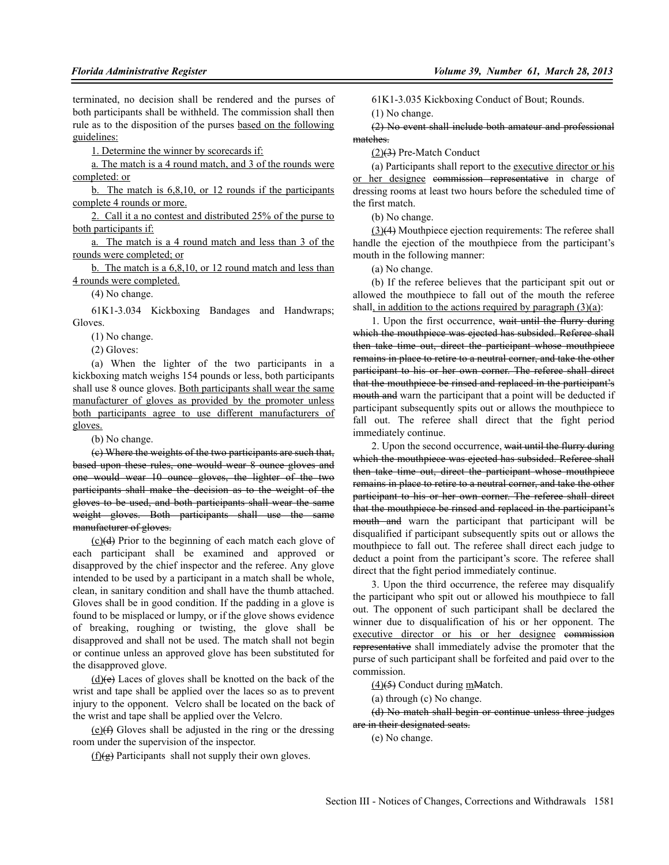terminated, no decision shall be rendered and the purses of both participants shall be withheld. The commission shall then rule as to the disposition of the purses based on the following guidelines:

1. Determine the winner by scorecards if:

a. The match is a 4 round match, and 3 of the rounds were completed: or

b. The match is 6,8,10, or 12 rounds if the participants complete 4 rounds or more.

2. Call it a no contest and distributed 25% of the purse to both participants if:

a. The match is a 4 round match and less than 3 of the rounds were completed; or

b. The match is a 6,8,10, or 12 round match and less than 4 rounds were completed.

(4) No change.

61K1-3.034 Kickboxing Bandages and Handwraps; Gloves.

(1) No change.

(2) Gloves:

(a) When the lighter of the two participants in a kickboxing match weighs 154 pounds or less, both participants shall use 8 ounce gloves. Both participants shall wear the same manufacturer of gloves as provided by the promoter unless both participants agree to use different manufacturers of gloves.

(b) No change.

(c) Where the weights of the two participants are such that, based upon these rules, one would wear 8 ounce gloves and one would wear 10 ounce gloves, the lighter of the two participants shall make the decision as to the weight of the gloves to be used, and both participants shall wear the same weight gloves. Both participants shall use the same manufacturer of gloves.

(c)(d) Prior to the beginning of each match each glove of each participant shall be examined and approved or disapproved by the chief inspector and the referee. Any glove intended to be used by a participant in a match shall be whole, clean, in sanitary condition and shall have the thumb attached. Gloves shall be in good condition. If the padding in a glove is found to be misplaced or lumpy, or if the glove shows evidence of breaking, roughing or twisting, the glove shall be disapproved and shall not be used. The match shall not begin or continue unless an approved glove has been substituted for the disapproved glove.

 $(d)$ (d)(e) Laces of gloves shall be knotted on the back of the wrist and tape shall be applied over the laces so as to prevent injury to the opponent. Velcro shall be located on the back of the wrist and tape shall be applied over the Velcro.

 $(e)$ ( $\leftrightarrow$ ) Gloves shall be adjusted in the ring or the dressing room under the supervision of the inspector.

 $(f)(g)$  Participants shall not supply their own gloves.

61K1-3.035 Kickboxing Conduct of Bout; Rounds.

(1) No change.

(2) No event shall include both amateur and professional matches.

 $(2)(3)$  Pre-Match Conduct

(a) Participants shall report to the executive director or his or her designee commission representative in charge of dressing rooms at least two hours before the scheduled time of the first match.

(b) No change.

(3)(4) Mouthpiece ejection requirements: The referee shall handle the ejection of the mouthpiece from the participant's mouth in the following manner:

(a) No change.

(b) If the referee believes that the participant spit out or allowed the mouthpiece to fall out of the mouth the referee shall, in addition to the actions required by paragraph  $(3)(a)$ :

1. Upon the first occurrence, wait until the flurry during which the mouthpiece was ejected has subsided. Referee shall then take time out, direct the participant whose mouthpiece remains in place to retire to a neutral corner, and take the other participant to his or her own corner. The referee shall direct that the mouthpiece be rinsed and replaced in the participant's mouth and warn the participant that a point will be deducted if participant subsequently spits out or allows the mouthpiece to fall out. The referee shall direct that the fight period immediately continue.

2. Upon the second occurrence, wait until the flurry during which the mouthpiece was ejected has subsided. Referee shall then take time out, direct the participant whose mouthpiece remains in place to retire to a neutral corner, and take the other participant to his or her own corner. The referee shall direct that the mouthpiece be rinsed and replaced in the participant's mouth and warn the participant that participant will be disqualified if participant subsequently spits out or allows the mouthpiece to fall out. The referee shall direct each judge to deduct a point from the participant's score. The referee shall direct that the fight period immediately continue.

3. Upon the third occurrence, the referee may disqualify the participant who spit out or allowed his mouthpiece to fall out. The opponent of such participant shall be declared the winner due to disqualification of his or her opponent. The executive director or his or her designee commission representative shall immediately advise the promoter that the purse of such participant shall be forfeited and paid over to the commission.

(4)(5) Conduct during mMatch.

(a) through (c) No change.

(d) No match shall begin or continue unless three judges are in their designated seats.

(e) No change.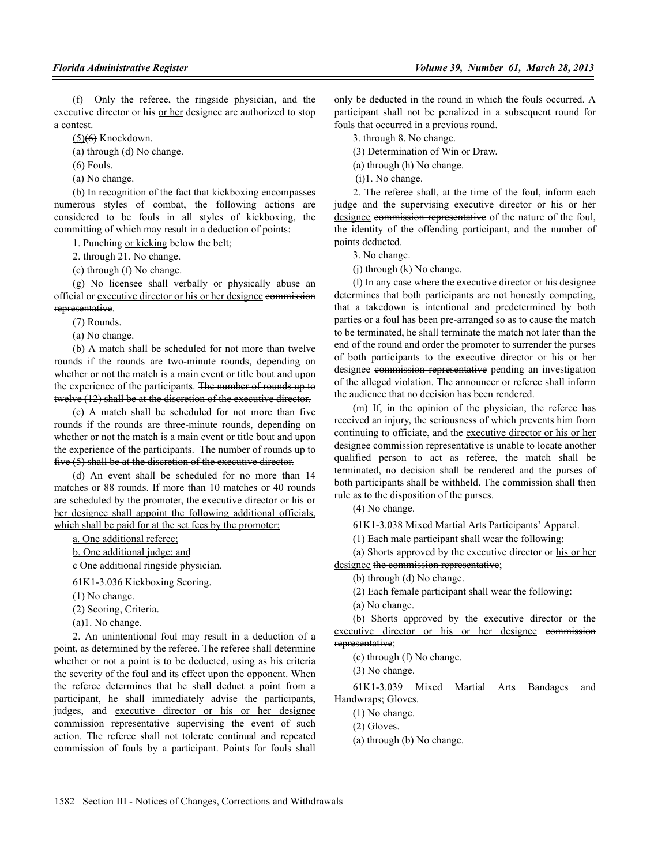(f) Only the referee, the ringside physician, and the executive director or his or her designee are authorized to stop a contest.

 $(5)$ <del>(6)</del> Knockdown.

(a) through (d) No change.

 $(6)$  Fouls.

(a) No change.

(b) In recognition of the fact that kickboxing encompasses numerous styles of combat, the following actions are considered to be fouls in all styles of kickboxing, the committing of which may result in a deduction of points:

1. Punching or kicking below the belt;

2. through 21. No change.

(c) through (f) No change.

(g) No licensee shall verbally or physically abuse an official or executive director or his or her designee commission representative.

(7) Rounds.

(a) No change.

(b) A match shall be scheduled for not more than twelve rounds if the rounds are two-minute rounds, depending on whether or not the match is a main event or title bout and upon the experience of the participants. The number of rounds up to twelve (12) shall be at the discretion of the executive director.

(c) A match shall be scheduled for not more than five rounds if the rounds are three-minute rounds, depending on whether or not the match is a main event or title bout and upon the experience of the participants. The number of rounds up to five (5) shall be at the discretion of the executive director.

(d) An event shall be scheduled for no more than 14 matches or 88 rounds. If more than 10 matches or 40 rounds are scheduled by the promoter, the executive director or his or her designee shall appoint the following additional officials, which shall be paid for at the set fees by the promoter:

a. One additional referee;

b. One additional judge; and

c One additional ringside physician.

61K1-3.036 Kickboxing Scoring.

(1) No change.

(2) Scoring, Criteria.

(a)1. No change.

2. An unintentional foul may result in a deduction of a point, as determined by the referee. The referee shall determine whether or not a point is to be deducted, using as his criteria the severity of the foul and its effect upon the opponent. When the referee determines that he shall deduct a point from a participant, he shall immediately advise the participants, judges, and executive director or his or her designee commission representative supervising the event of such action. The referee shall not tolerate continual and repeated commission of fouls by a participant. Points for fouls shall only be deducted in the round in which the fouls occurred. A participant shall not be penalized in a subsequent round for fouls that occurred in a previous round.

3. through 8. No change.

(3) Determination of Win or Draw.

(a) through (h) No change.

(i)1. No change.

2. The referee shall, at the time of the foul, inform each judge and the supervising executive director or his or her designee commission representative of the nature of the foul, the identity of the offending participant, and the number of points deducted.

3. No change.

(j) through (k) No change.

(l) In any case where the executive director or his designee determines that both participants are not honestly competing, that a takedown is intentional and predetermined by both parties or a foul has been pre-arranged so as to cause the match to be terminated, he shall terminate the match not later than the end of the round and order the promoter to surrender the purses of both participants to the executive director or his or her designee commission representative pending an investigation of the alleged violation. The announcer or referee shall inform the audience that no decision has been rendered.

(m) If, in the opinion of the physician, the referee has received an injury, the seriousness of which prevents him from continuing to officiate, and the executive director or his or her designee commission representative is unable to locate another qualified person to act as referee, the match shall be terminated, no decision shall be rendered and the purses of both participants shall be withheld. The commission shall then rule as to the disposition of the purses.

(4) No change.

61K1-3.038 Mixed Martial Arts Participants' Apparel.

(1) Each male participant shall wear the following:

(a) Shorts approved by the executive director or his or her designee the commission representative;

(b) through (d) No change.

(2) Each female participant shall wear the following:

(a) No change.

(b) Shorts approved by the executive director or the executive director or his or her designee commission representative;

(c) through (f) No change.

(3) No change.

61K1-3.039 Mixed Martial Arts Bandages and Handwraps; Gloves.

(1) No change.

- (2) Gloves.
- (a) through (b) No change.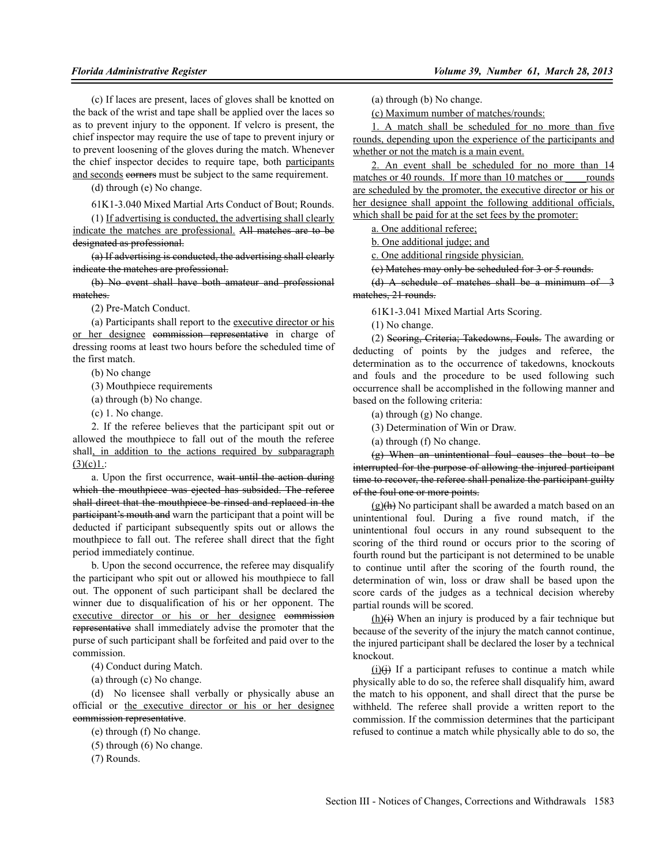(c) If laces are present, laces of gloves shall be knotted on the back of the wrist and tape shall be applied over the laces so as to prevent injury to the opponent. If velcro is present, the chief inspector may require the use of tape to prevent injury or to prevent loosening of the gloves during the match. Whenever the chief inspector decides to require tape, both participants and seconds corners must be subject to the same requirement.

(d) through (e) No change.

61K1-3.040 Mixed Martial Arts Conduct of Bout; Rounds.

(1) If advertising is conducted, the advertising shall clearly indicate the matches are professional. All matches are to be designated as professional.

(a) If advertising is conducted, the advertising shall clearly indicate the matches are professional.

(b) No event shall have both amateur and professional matches.

(2) Pre-Match Conduct.

(a) Participants shall report to the executive director or his or her designee commission representative in charge of dressing rooms at least two hours before the scheduled time of the first match.

(b) No change

(3) Mouthpiece requirements

(a) through (b) No change.

(c) 1. No change.

2. If the referee believes that the participant spit out or allowed the mouthpiece to fall out of the mouth the referee shall, in addition to the actions required by subparagraph  $(3)(c)1$ .:

a. Upon the first occurrence, wait until the action during which the mouthpiece was ejected has subsided. The referee shall direct that the mouthpiece be rinsed and replaced in the participant's mouth and warn the participant that a point will be deducted if participant subsequently spits out or allows the mouthpiece to fall out. The referee shall direct that the fight period immediately continue.

b. Upon the second occurrence, the referee may disqualify the participant who spit out or allowed his mouthpiece to fall out. The opponent of such participant shall be declared the winner due to disqualification of his or her opponent. The executive director or his or her designee commission representative shall immediately advise the promoter that the purse of such participant shall be forfeited and paid over to the commission.

(4) Conduct during Match.

(a) through (c) No change.

(d) No licensee shall verbally or physically abuse an official or the executive director or his or her designee commission representative.

(e) through (f) No change.

(5) through (6) No change.

(7) Rounds.

(a) through (b) No change.

(c) Maximum number of matches/rounds:

1. A match shall be scheduled for no more than five rounds, depending upon the experience of the participants and whether or not the match is a main event.

2. An event shall be scheduled for no more than 14 matches or 40 rounds. If more than 10 matches or counds are scheduled by the promoter, the executive director or his or her designee shall appoint the following additional officials, which shall be paid for at the set fees by the promoter:

a. One additional referee;

b. One additional judge; and

c. One additional ringside physician.

(c) Matches may only be scheduled for 3 or 5 rounds.

(d) A schedule of matches shall be a minimum of  $-3$ matches, 21 rounds.

61K1-3.041 Mixed Martial Arts Scoring.

(1) No change.

(2) Scoring, Criteria; Takedowns, Fouls. The awarding or deducting of points by the judges and referee, the determination as to the occurrence of takedowns, knockouts and fouls and the procedure to be used following such occurrence shall be accomplished in the following manner and based on the following criteria:

(a) through (g) No change.

(3) Determination of Win or Draw.

(a) through (f) No change.

(g) When an unintentional foul causes the bout to be interrupted for the purpose of allowing the injured participant time to recover, the referee shall penalize the participant guilty of the foul one or more points.

 $(g)(h)$  No participant shall be awarded a match based on an unintentional foul. During a five round match, if the unintentional foul occurs in any round subsequent to the scoring of the third round or occurs prior to the scoring of fourth round but the participant is not determined to be unable to continue until after the scoring of the fourth round, the determination of win, loss or draw shall be based upon the score cards of the judges as a technical decision whereby partial rounds will be scored.

 $(h)(i)$  When an injury is produced by a fair technique but because of the severity of the injury the match cannot continue, the injured participant shall be declared the loser by a technical knockout.

 $(i)$ (i) If a participant refuses to continue a match while physically able to do so, the referee shall disqualify him, award the match to his opponent, and shall direct that the purse be withheld. The referee shall provide a written report to the commission. If the commission determines that the participant refused to continue a match while physically able to do so, the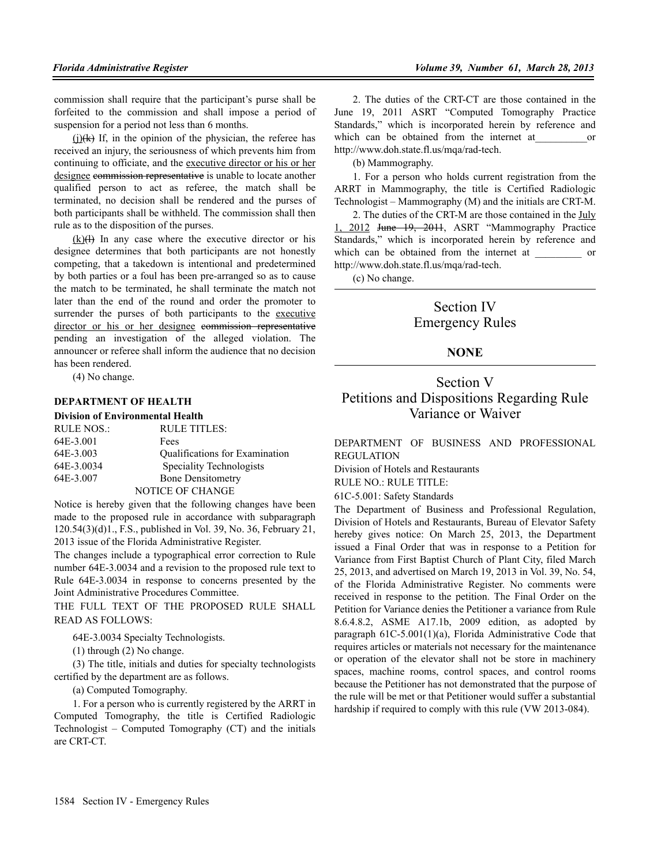commission shall require that the participant's purse shall be forfeited to the commission and shall impose a period of suspension for a period not less than 6 months.

 $(i)$ (k) If, in the opinion of the physician, the referee has received an injury, the seriousness of which prevents him from continuing to officiate, and the executive director or his or her designee commission representative is unable to locate another qualified person to act as referee, the match shall be terminated, no decision shall be rendered and the purses of both participants shall be withheld. The commission shall then rule as to the disposition of the purses.

 $(k)$ ( $\leftrightarrow$  In any case where the executive director or his designee determines that both participants are not honestly competing, that a takedown is intentional and predetermined by both parties or a foul has been pre-arranged so as to cause the match to be terminated, he shall terminate the match not later than the end of the round and order the promoter to surrender the purses of both participants to the executive director or his or her designee commission representative pending an investigation of the alleged violation. The announcer or referee shall inform the audience that no decision has been rendered.

(4) No change.

#### **DEPARTMENT OF HEALTH**

**Division of Environmental Health**

| <b>RULE NOS.:</b> | RULE TITLES:                   |
|-------------------|--------------------------------|
| 64E-3.001         | Fees                           |
| 64E-3.003         | Qualifications for Examination |
| 64E-3.0034        | Speciality Technologists       |
| 64E-3.007         | <b>Bone Densitometry</b>       |
|                   | NOTICE OF CHANGE               |

Notice is hereby given that the following changes have been made to the proposed rule in accordance with subparagraph 120.54(3)(d)1., F.S., published in Vol. 39, No. 36, February 21, 2013 issue of the Florida Administrative Register.

The changes include a typographical error correction to Rule number 64E-3.0034 and a revision to the proposed rule text to Rule 64E-3.0034 in response to concerns presented by the Joint Administrative Procedures Committee.

THE FULL TEXT OF THE PROPOSED RULE SHALL READ AS FOLLOWS:

64E-3.0034 Specialty Technologists.

(1) through (2) No change.

(3) The title, initials and duties for specialty technologists certified by the department are as follows.

(a) Computed Tomography.

1. For a person who is currently registered by the ARRT in Computed Tomography, the title is Certified Radiologic Technologist – Computed Tomography (CT) and the initials are CRT-CT.

2. The duties of the CRT-CT are those contained in the June 19, 2011 ASRT "Computed Tomography Practice Standards," which is incorporated herein by reference and which can be obtained from the internet at or http://www.doh.state.fl.us/mqa/rad-tech.

(b) Mammography.

1. For a person who holds current registration from the ARRT in Mammography, the title is Certified Radiologic Technologist – Mammography (M) and the initials are CRT-M.

2. The duties of the CRT-M are those contained in the July 2012 <del>June 19, 2011</del>, ASRT "Mammography Practice Standards," which is incorporated herein by reference and which can be obtained from the internet at \_\_\_\_\_\_\_\_ or http://www.doh.state.fl.us/mqa/rad-tech.

(c) No change.

Section IV Emergency Rules

# **NONE**

# Section V Petitions and Dispositions Regarding Rule Variance or Waiver

DEPARTMENT OF BUSINESS AND PROFESSIONAL REGULATION

Division of Hotels and Restaurants

RULE NO.: RULE TITLE:

61C-5.001: Safety Standards

The Department of Business and Professional Regulation, Division of Hotels and Restaurants, Bureau of Elevator Safety hereby gives notice: On March 25, 2013, the Department issued a Final Order that was in response to a Petition for Variance from First Baptist Church of Plant City, filed March 25, 2013, and advertised on March 19, 2013 in Vol. 39, No. 54, of the Florida Administrative Register. No comments were received in response to the petition. The Final Order on the Petition for Variance denies the Petitioner a variance from Rule 8.6.4.8.2, ASME A17.1b, 2009 edition, as adopted by paragraph 61C-5.001(1)(a), Florida Administrative Code that requires articles or materials not necessary for the maintenance or operation of the elevator shall not be store in machinery spaces, machine rooms, control spaces, and control rooms because the Petitioner has not demonstrated that the purpose of the rule will be met or that Petitioner would suffer a substantial hardship if required to comply with this rule (VW 2013-084).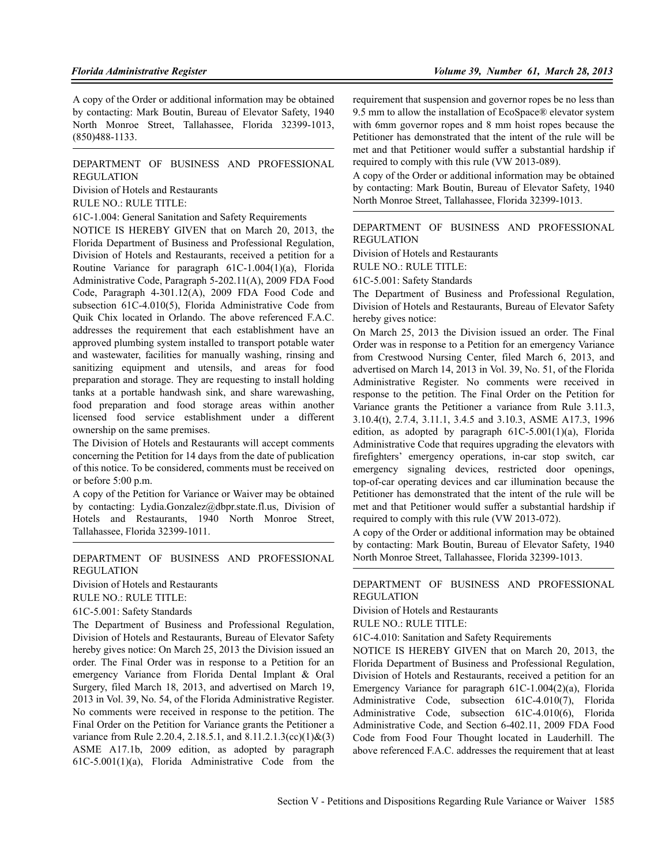A copy of the Order or additional information may be obtained by contacting: Mark Boutin, Bureau of Elevator Safety, 1940 North Monroe Street, Tallahassee, Florida 32399-1013, (850)488-1133.

#### DEPARTMENT OF BUSINESS AND PROFESSIONAL REGULATION

Division of Hotels and Restaurants

RULE NO.: RULE TITLE:

61C-1.004: General Sanitation and Safety Requirements

NOTICE IS HEREBY GIVEN that on March 20, 2013, the Florida Department of Business and Professional Regulation, Division of Hotels and Restaurants, received a petition for a Routine Variance for paragraph 61C-1.004(1)(a), Florida Administrative Code, Paragraph 5-202.11(A), 2009 FDA Food Code, Paragraph 4-301.12(A), 2009 FDA Food Code and subsection 61C-4.010(5), Florida Administrative Code from Quik Chix located in Orlando. The above referenced F.A.C. addresses the requirement that each establishment have an approved plumbing system installed to transport potable water and wastewater, facilities for manually washing, rinsing and sanitizing equipment and utensils, and areas for food preparation and storage. They are requesting to install holding tanks at a portable handwash sink, and share warewashing, food preparation and food storage areas within another licensed food service establishment under a different ownership on the same premises.

The Division of Hotels and Restaurants will accept comments concerning the Petition for 14 days from the date of publication of this notice. To be considered, comments must be received on or before 5:00 p.m.

A copy of the Petition for Variance or Waiver may be obtained by contacting: Lydia.Gonzalez@dbpr.state.fl.us, Division of Hotels and Restaurants, 1940 North Monroe Street, Tallahassee, Florida 32399-1011.

DEPARTMENT OF BUSINESS AND PROFESSIONAL REGULATION

Division of Hotels and Restaurants

RULE NO.: RULE TITLE:

61C-5.001: Safety Standards

The Department of Business and Professional Regulation, Division of Hotels and Restaurants, Bureau of Elevator Safety hereby gives notice: On March 25, 2013 the Division issued an order. The Final Order was in response to a Petition for an emergency Variance from Florida Dental Implant & Oral Surgery, filed March 18, 2013, and advertised on March 19, 2013 in Vol. 39, No. 54, of the Florida Administrative Register. No comments were received in response to the petition. The Final Order on the Petition for Variance grants the Petitioner a variance from Rule 2.20.4, 2.18.5.1, and 8.11.2.1.3(cc)(1)&(3) ASME A17.1b, 2009 edition, as adopted by paragraph 61C-5.001(1)(a), Florida Administrative Code from the

requirement that suspension and governor ropes be no less than 9.5 mm to allow the installation of EcoSpace® elevator system with 6mm governor ropes and 8 mm hoist ropes because the Petitioner has demonstrated that the intent of the rule will be met and that Petitioner would suffer a substantial hardship if required to comply with this rule (VW 2013-089).

A copy of the Order or additional information may be obtained by contacting: Mark Boutin, Bureau of Elevator Safety, 1940 North Monroe Street, Tallahassee, Florida 32399-1013.

### DEPARTMENT OF BUSINESS AND PROFESSIONAL REGULATION

Division of Hotels and Restaurants

RULE NO.: RULE TITLE:

61C-5.001: Safety Standards

The Department of Business and Professional Regulation, Division of Hotels and Restaurants, Bureau of Elevator Safety hereby gives notice:

On March 25, 2013 the Division issued an order. The Final Order was in response to a Petition for an emergency Variance from Crestwood Nursing Center, filed March 6, 2013, and advertised on March 14, 2013 in Vol. 39, No. 51, of the Florida Administrative Register. No comments were received in response to the petition. The Final Order on the Petition for Variance grants the Petitioner a variance from Rule 3.11.3, 3.10.4(t), 2.7.4, 3.11.1, 3.4.5 and 3.10.3, ASME A17.3, 1996 edition, as adopted by paragraph  $61C-5.001(1)(a)$ , Florida Administrative Code that requires upgrading the elevators with firefighters' emergency operations, in-car stop switch, car emergency signaling devices, restricted door openings, top-of-car operating devices and car illumination because the Petitioner has demonstrated that the intent of the rule will be met and that Petitioner would suffer a substantial hardship if required to comply with this rule (VW 2013-072).

A copy of the Order or additional information may be obtained by contacting: Mark Boutin, Bureau of Elevator Safety, 1940 North Monroe Street, Tallahassee, Florida 32399-1013.

#### DEPARTMENT OF BUSINESS AND PROFESSIONAL REGULATION

Division of Hotels and Restaurants

RULE NO.: RULE TITLE:

61C-4.010: Sanitation and Safety Requirements

NOTICE IS HEREBY GIVEN that on March 20, 2013, the Florida Department of Business and Professional Regulation, Division of Hotels and Restaurants, received a petition for an Emergency Variance for paragraph 61C-1.004(2)(a), Florida Administrative Code, subsection 61C-4.010(7), Florida Administrative Code, subsection 61C-4.010(6), Florida Administrative Code, and Section 6-402.11, 2009 FDA Food Code from Food Four Thought located in Lauderhill. The above referenced F.A.C. addresses the requirement that at least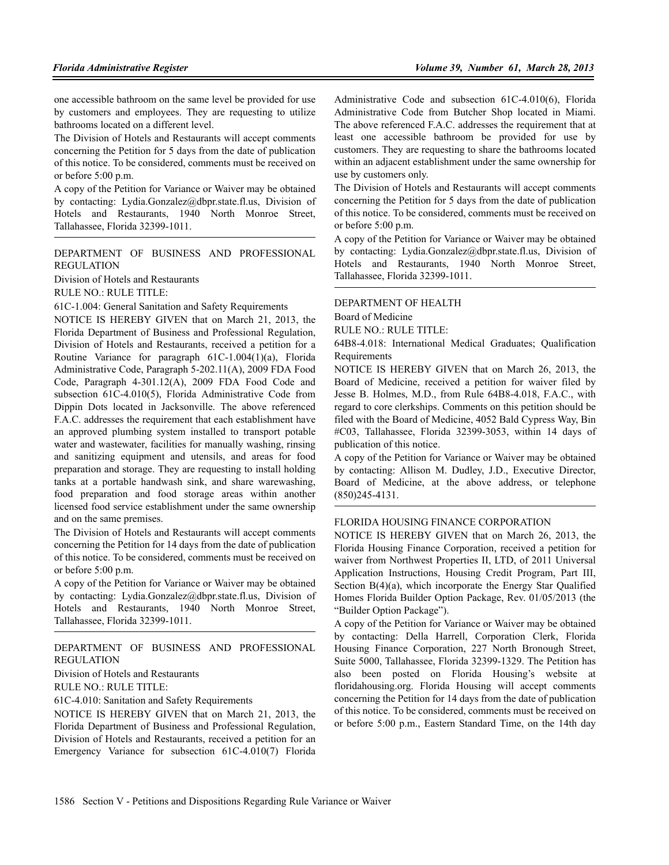one accessible bathroom on the same level be provided for use by customers and employees. They are requesting to utilize bathrooms located on a different level.

The Division of Hotels and Restaurants will accept comments concerning the Petition for 5 days from the date of publication of this notice. To be considered, comments must be received on or before 5:00 p.m.

A copy of the Petition for Variance or Waiver may be obtained by contacting: Lydia.Gonzalez@dbpr.state.fl.us, Division of Hotels and Restaurants, 1940 North Monroe Street, Tallahassee, Florida 32399-1011.

### DEPARTMENT OF BUSINESS AND PROFESSIONAL REGULATION

Division of Hotels and Restaurants

RULE NO.: RULE TITLE:

61C-1.004: General Sanitation and Safety Requirements

NOTICE IS HEREBY GIVEN that on March 21, 2013, the Florida Department of Business and Professional Regulation, Division of Hotels and Restaurants, received a petition for a Routine Variance for paragraph 61C-1.004(1)(a), Florida Administrative Code, Paragraph 5-202.11(A), 2009 FDA Food Code, Paragraph 4-301.12(A), 2009 FDA Food Code and subsection 61C-4.010(5), Florida Administrative Code from Dippin Dots located in Jacksonville. The above referenced F.A.C. addresses the requirement that each establishment have an approved plumbing system installed to transport potable water and wastewater, facilities for manually washing, rinsing and sanitizing equipment and utensils, and areas for food preparation and storage. They are requesting to install holding tanks at a portable handwash sink, and share warewashing, food preparation and food storage areas within another licensed food service establishment under the same ownership and on the same premises.

The Division of Hotels and Restaurants will accept comments concerning the Petition for 14 days from the date of publication of this notice. To be considered, comments must be received on or before 5:00 p.m.

A copy of the Petition for Variance or Waiver may be obtained by contacting: Lydia.Gonzalez@dbpr.state.fl.us, Division of Hotels and Restaurants, 1940 North Monroe Street, Tallahassee, Florida 32399-1011.

#### DEPARTMENT OF BUSINESS AND PROFESSIONAL REGULATION

Division of Hotels and Restaurants

RULE NO.: RULE TITLE:

61C-4.010: Sanitation and Safety Requirements

NOTICE IS HEREBY GIVEN that on March 21, 2013, the Florida Department of Business and Professional Regulation, Division of Hotels and Restaurants, received a petition for an Emergency Variance for subsection 61C-4.010(7) Florida Administrative Code and subsection 61C-4.010(6), Florida Administrative Code from Butcher Shop located in Miami. The above referenced F.A.C. addresses the requirement that at least one accessible bathroom be provided for use by customers. They are requesting to share the bathrooms located within an adjacent establishment under the same ownership for use by customers only.

The Division of Hotels and Restaurants will accept comments concerning the Petition for 5 days from the date of publication of this notice. To be considered, comments must be received on or before 5:00 p.m.

A copy of the Petition for Variance or Waiver may be obtained by contacting: Lydia.Gonzalez@dbpr.state.fl.us, Division of Hotels and Restaurants, 1940 North Monroe Street, Tallahassee, Florida 32399-1011.

#### DEPARTMENT OF HEALTH

Board of Medicine

RULE NO.: RULE TITLE:

64B8-4.018: International Medical Graduates; Qualification **Requirements** 

NOTICE IS HEREBY GIVEN that on March 26, 2013, the Board of Medicine, received a petition for waiver filed by Jesse B. Holmes, M.D., from Rule 64B8-4.018, F.A.C., with regard to core clerkships. Comments on this petition should be filed with the Board of Medicine, 4052 Bald Cypress Way, Bin #C03, Tallahassee, Florida 32399-3053, within 14 days of publication of this notice.

A copy of the Petition for Variance or Waiver may be obtained by contacting: Allison M. Dudley, J.D., Executive Director, Board of Medicine, at the above address, or telephone (850)245-4131.

#### FLORIDA HOUSING FINANCE CORPORATION

NOTICE IS HEREBY GIVEN that on March 26, 2013, the Florida Housing Finance Corporation, received a petition for waiver from Northwest Properties II, LTD, of 2011 Universal Application Instructions, Housing Credit Program, Part III, Section B(4)(a), which incorporate the Energy Star Qualified Homes Florida Builder Option Package, Rev. 01/05/2013 (the "Builder Option Package").

A copy of the Petition for Variance or Waiver may be obtained by contacting: Della Harrell, Corporation Clerk, Florida Housing Finance Corporation, 227 North Bronough Street, Suite 5000, Tallahassee, Florida 32399-1329. The Petition has also been posted on Florida Housing's website at floridahousing.org. Florida Housing will accept comments concerning the Petition for 14 days from the date of publication of this notice. To be considered, comments must be received on or before 5:00 p.m., Eastern Standard Time, on the 14th day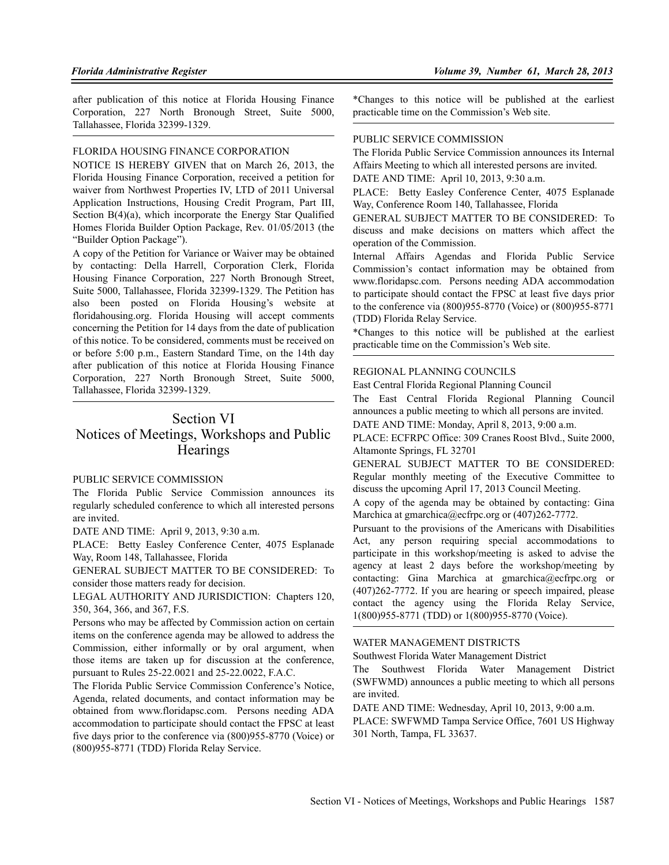after publication of this notice at Florida Housing Finance Corporation, 227 North Bronough Street, Suite 5000, Tallahassee, Florida 32399-1329.

## FLORIDA HOUSING FINANCE CORPORATION

NOTICE IS HEREBY GIVEN that on March 26, 2013, the Florida Housing Finance Corporation, received a petition for waiver from Northwest Properties IV, LTD of 2011 Universal Application Instructions, Housing Credit Program, Part III, Section B(4)(a), which incorporate the Energy Star Qualified Homes Florida Builder Option Package, Rev. 01/05/2013 (the "Builder Option Package").

A copy of the Petition for Variance or Waiver may be obtained by contacting: Della Harrell, Corporation Clerk, Florida Housing Finance Corporation, 227 North Bronough Street, Suite 5000, Tallahassee, Florida 32399-1329. The Petition has also been posted on Florida Housing's website at floridahousing.org. Florida Housing will accept comments concerning the Petition for 14 days from the date of publication of this notice. To be considered, comments must be received on or before 5:00 p.m., Eastern Standard Time, on the 14th day after publication of this notice at Florida Housing Finance Corporation, 227 North Bronough Street, Suite 5000, Tallahassee, Florida 32399-1329.

# Section VI

# Notices of Meetings, Workshops and Public **Hearings**

#### PUBLIC SERVICE COMMISSION

The Florida Public Service Commission announces its regularly scheduled conference to which all interested persons are invited.

DATE AND TIME: April 9, 2013, 9:30 a.m.

PLACE: Betty Easley Conference Center, 4075 Esplanade Way, Room 148, Tallahassee, Florida

GENERAL SUBJECT MATTER TO BE CONSIDERED: To consider those matters ready for decision.

LEGAL AUTHORITY AND JURISDICTION: Chapters 120, 350, 364, 366, and 367, F.S.

Persons who may be affected by Commission action on certain items on the conference agenda may be allowed to address the Commission, either informally or by oral argument, when those items are taken up for discussion at the conference, pursuant to Rules 25-22.0021 and 25-22.0022, F.A.C.

The Florida Public Service Commission Conference's Notice, Agenda, related documents, and contact information may be obtained from www.floridapsc.com. Persons needing ADA accommodation to participate should contact the FPSC at least five days prior to the conference via (800)955-8770 (Voice) or (800)955-8771 (TDD) Florida Relay Service.

\*Changes to this notice will be published at the earliest practicable time on the Commission's Web site.

#### PUBLIC SERVICE COMMISSION

The Florida Public Service Commission announces its Internal Affairs Meeting to which all interested persons are invited.

DATE AND TIME: April 10, 2013, 9:30 a.m.

PLACE: Betty Easley Conference Center, 4075 Esplanade Way, Conference Room 140, Tallahassee, Florida

GENERAL SUBJECT MATTER TO BE CONSIDERED: To discuss and make decisions on matters which affect the operation of the Commission.

Internal Affairs Agendas and Florida Public Service Commission's contact information may be obtained from www.floridapsc.com. Persons needing ADA accommodation to participate should contact the FPSC at least five days prior to the conference via (800)955-8770 (Voice) or (800)955-8771 (TDD) Florida Relay Service.

\*Changes to this notice will be published at the earliest practicable time on the Commission's Web site.

#### REGIONAL PLANNING COUNCILS

East Central Florida Regional Planning Council

The East Central Florida Regional Planning Council announces a public meeting to which all persons are invited.

DATE AND TIME: Monday, April 8, 2013, 9:00 a.m.

PLACE: ECFRPC Office: 309 Cranes Roost Blvd., Suite 2000, Altamonte Springs, FL 32701

GENERAL SUBJECT MATTER TO BE CONSIDERED: Regular monthly meeting of the Executive Committee to discuss the upcoming April 17, 2013 Council Meeting.

A copy of the agenda may be obtained by contacting: Gina Marchica at gmarchica@ecfrpc.org or (407)262-7772.

Pursuant to the provisions of the Americans with Disabilities Act, any person requiring special accommodations to participate in this workshop/meeting is asked to advise the agency at least 2 days before the workshop/meeting by contacting: Gina Marchica at gmarchica@ecfrpc.org or (407)262-7772. If you are hearing or speech impaired, please contact the agency using the Florida Relay Service, 1(800)955-8771 (TDD) or 1(800)955-8770 (Voice).

#### WATER MANAGEMENT DISTRICTS

Southwest Florida Water Management District

The Southwest Florida Water Management District (SWFWMD) announces a public meeting to which all persons are invited.

DATE AND TIME: Wednesday, April 10, 2013, 9:00 a.m.

PLACE: SWFWMD Tampa Service Office, 7601 US Highway 301 North, Tampa, FL 33637.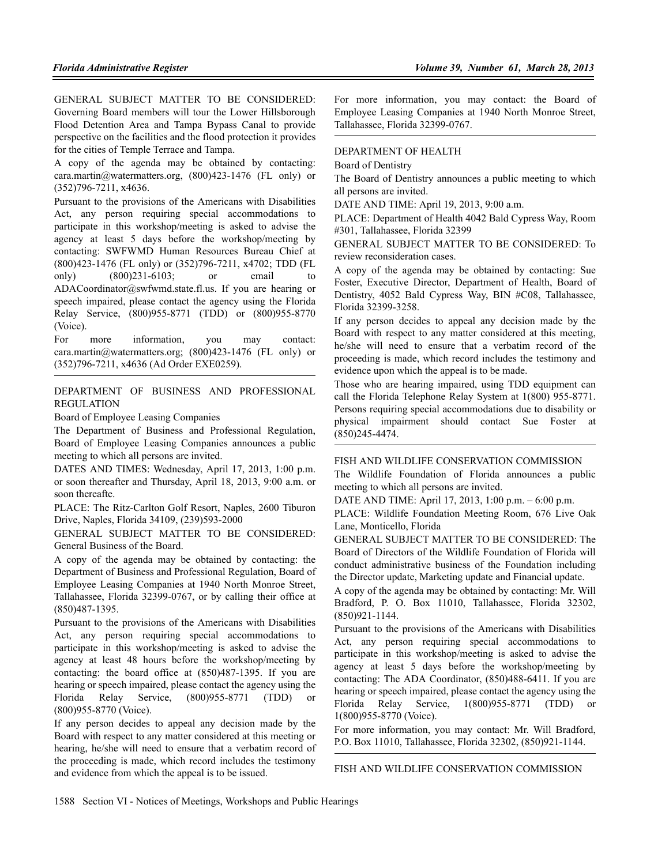GENERAL SUBJECT MATTER TO BE CONSIDERED: Governing Board members will tour the Lower Hillsborough Flood Detention Area and Tampa Bypass Canal to provide perspective on the facilities and the flood protection it provides for the cities of Temple Terrace and Tampa.

A copy of the agenda may be obtained by contacting: cara.martin@watermatters.org, (800)423-1476 (FL only) or (352)796-7211, x4636.

Pursuant to the provisions of the Americans with Disabilities Act, any person requiring special accommodations to participate in this workshop/meeting is asked to advise the agency at least 5 days before the workshop/meeting by contacting: SWFWMD Human Resources Bureau Chief at (800)423-1476 (FL only) or (352)796-7211, x4702; TDD (FL only) (800)231-6103; or email ADACoordinator@swfwmd.state.fl.us. If you are hearing or speech impaired, please contact the agency using the Florida Relay Service, (800)955-8771 (TDD) or (800)955-8770 (Voice).

For more information, you may contact: cara.martin@watermatters.org; (800)423-1476 (FL only) or (352)796-7211, x4636 (Ad Order EXE0259).

DEPARTMENT OF BUSINESS AND PROFESSIONAL REGULATION

Board of Employee Leasing Companies

The Department of Business and Professional Regulation, Board of Employee Leasing Companies announces a public meeting to which all persons are invited.

DATES AND TIMES: Wednesday, April 17, 2013, 1:00 p.m. or soon thereafter and Thursday, April 18, 2013, 9:00 a.m. or soon thereafte.

PLACE: The Ritz-Carlton Golf Resort, Naples, 2600 Tiburon Drive, Naples, Florida 34109, (239)593-2000

GENERAL SUBJECT MATTER TO BE CONSIDERED: General Business of the Board.

A copy of the agenda may be obtained by contacting: the Department of Business and Professional Regulation, Board of Employee Leasing Companies at 1940 North Monroe Street, Tallahassee, Florida 32399-0767, or by calling their office at (850)487-1395.

Pursuant to the provisions of the Americans with Disabilities Act, any person requiring special accommodations to participate in this workshop/meeting is asked to advise the agency at least 48 hours before the workshop/meeting by contacting: the board office at (850)487-1395. If you are hearing or speech impaired, please contact the agency using the Florida Relay Service, (800)955-8771 (TDD) or (800)955-8770 (Voice).

If any person decides to appeal any decision made by the Board with respect to any matter considered at this meeting or hearing, he/she will need to ensure that a verbatim record of the proceeding is made, which record includes the testimony and evidence from which the appeal is to be issued.

For more information, you may contact: the Board of Employee Leasing Companies at 1940 North Monroe Street, Tallahassee, Florida 32399-0767.

### DEPARTMENT OF HEALTH

Board of Dentistry

The Board of Dentistry announces a public meeting to which all persons are invited.

DATE AND TIME: April 19, 2013, 9:00 a.m.

PLACE: Department of Health 4042 Bald Cypress Way, Room #301, Tallahassee, Florida 32399

GENERAL SUBJECT MATTER TO BE CONSIDERED: To review reconsideration cases.

A copy of the agenda may be obtained by contacting: Sue Foster, Executive Director, Department of Health, Board of Dentistry, 4052 Bald Cypress Way, BIN #C08, Tallahassee, Florida 32399-3258.

If any person decides to appeal any decision made by the Board with respect to any matter considered at this meeting, he/she will need to ensure that a verbatim record of the proceeding is made, which record includes the testimony and evidence upon which the appeal is to be made.

Those who are hearing impaired, using TDD equipment can call the Florida Telephone Relay System at 1(800) 955-8771. Persons requiring special accommodations due to disability or physical impairment should contact Sue Foster at (850)245-4474.

#### FISH AND WILDLIFE CONSERVATION COMMISSION

The Wildlife Foundation of Florida announces a public meeting to which all persons are invited.

DATE AND TIME: April 17, 2013, 1:00 p.m. – 6:00 p.m.

PLACE: Wildlife Foundation Meeting Room, 676 Live Oak Lane, Monticello, Florida

GENERAL SUBJECT MATTER TO BE CONSIDERED: The Board of Directors of the Wildlife Foundation of Florida will conduct administrative business of the Foundation including the Director update, Marketing update and Financial update.

A copy of the agenda may be obtained by contacting: Mr. Will Bradford, P. O. Box 11010, Tallahassee, Florida 32302, (850)921-1144.

Pursuant to the provisions of the Americans with Disabilities Act, any person requiring special accommodations to participate in this workshop/meeting is asked to advise the agency at least 5 days before the workshop/meeting by contacting: The ADA Coordinator, (850)488-6411. If you are hearing or speech impaired, please contact the agency using the Florida Relay Service, 1(800)955-8771 (TDD) or 1(800)955-8770 (Voice).

For more information, you may contact: Mr. Will Bradford, P.O. Box 11010, Tallahassee, Florida 32302, (850)921-1144.

FISH AND WILDLIFE CONSERVATION COMMISSION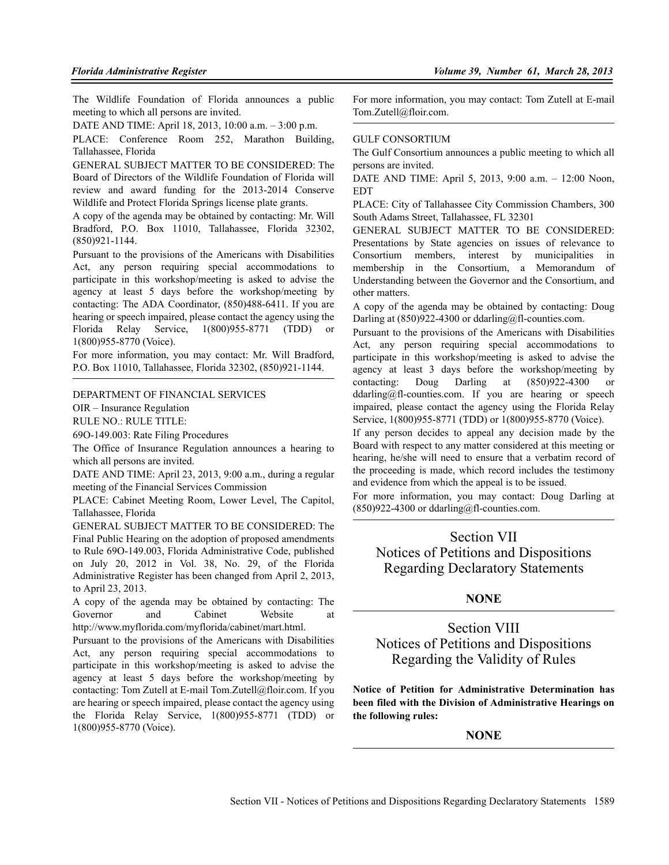The Wildlife Foundation of Florida announces a public meeting to which all persons are invited.

DATE AND TIME: April 18, 2013, 10:00 a.m. – 3:00 p.m.

PLACE: Conference Room 252, Marathon Building, Tallahassee, Florida

GENERAL SUBJECT MATTER TO BE CONSIDERED: The Board of Directors of the Wildlife Foundation of Florida will review and award funding for the 2013-2014 Conserve Wildlife and Protect Florida Springs license plate grants.

A copy of the agenda may be obtained by contacting: Mr. Will Bradford, P.O. Box 11010, Tallahassee, Florida 32302, (850)921-1144.

Pursuant to the provisions of the Americans with Disabilities Act, any person requiring special accommodations to participate in this workshop/meeting is asked to advise the agency at least 5 days before the workshop/meeting by contacting: The ADA Coordinator, (850)488-6411. If you are hearing or speech impaired, please contact the agency using the Florida Relay Service, 1(800)955-8771 (TDD) or 1(800)955-8770 (Voice).

For more information, you may contact: Mr. Will Bradford, P.O. Box 11010, Tallahassee, Florida 32302, (850)921-1144.

#### DEPARTMENT OF FINANCIAL SERVICES

OIR – Insurance Regulation

RULE NO.: RULE TITLE:

69O-149.003: Rate Filing Procedures

The Office of Insurance Regulation announces a hearing to which all persons are invited.

DATE AND TIME: April 23, 2013, 9:00 a.m., during a regular meeting of the Financial Services Commission

PLACE: Cabinet Meeting Room, Lower Level, The Capitol, Tallahassee, Florida

GENERAL SUBJECT MATTER TO BE CONSIDERED: The Final Public Hearing on the adoption of proposed amendments to Rule 69O-149.003, Florida Administrative Code, published on July 20, 2012 in Vol. 38, No. 29, of the Florida Administrative Register has been changed from April 2, 2013, to April 23, 2013.

A copy of the agenda may be obtained by contacting: The Governor and Cabinet Website at http://www.myflorida.com/myflorida/cabinet/mart.html.

Pursuant to the provisions of the Americans with Disabilities Act, any person requiring special accommodations to participate in this workshop/meeting is asked to advise the agency at least 5 days before the workshop/meeting by contacting: Tom Zutell at E-mail Tom.Zutell@floir.com. If you are hearing or speech impaired, please contact the agency using the Florida Relay Service, 1(800)955-8771 (TDD) or 1(800)955-8770 (Voice).

For more information, you may contact: Tom Zutell at E-mail Tom.Zutell@floir.com.

#### GULF CONSORTIUM

The Gulf Consortium announces a public meeting to which all persons are invited.

DATE AND TIME: April 5, 2013, 9:00 a.m. – 12:00 Noon, EDT

PLACE: City of Tallahassee City Commission Chambers, 300 South Adams Street, Tallahassee, FL 32301

GENERAL SUBJECT MATTER TO BE CONSIDERED: Presentations by State agencies on issues of relevance to Consortium members, interest by municipalities in membership in the Consortium, a Memorandum of Understanding between the Governor and the Consortium, and other matters.

A copy of the agenda may be obtained by contacting: Doug Darling at  $(850)922-4300$  or ddarling@fl-counties.com.

Pursuant to the provisions of the Americans with Disabilities Act, any person requiring special accommodations to participate in this workshop/meeting is asked to advise the agency at least 3 days before the workshop/meeting by contacting: Doug Darling at (850)922-4300 or ddarling@fl-counties.com. If you are hearing or speech impaired, please contact the agency using the Florida Relay Service, 1(800)955-8771 (TDD) or 1(800)955-8770 (Voice).

If any person decides to appeal any decision made by the Board with respect to any matter considered at this meeting or hearing, he/she will need to ensure that a verbatim record of the proceeding is made, which record includes the testimony and evidence from which the appeal is to be issued.

For more information, you may contact: Doug Darling at  $(850)922-4300$  or ddarling@fl-counties.com.

# Section VII Notices of Petitions and Dispositions Regarding Declaratory Statements

### **NONE**

# Section VIII Notices of Petitions and Dispositions Regarding the Validity of Rules

**Notice of Petition for Administrative Determination has been filed with the Division of Administrative Hearings on the following rules:**

#### **NONE**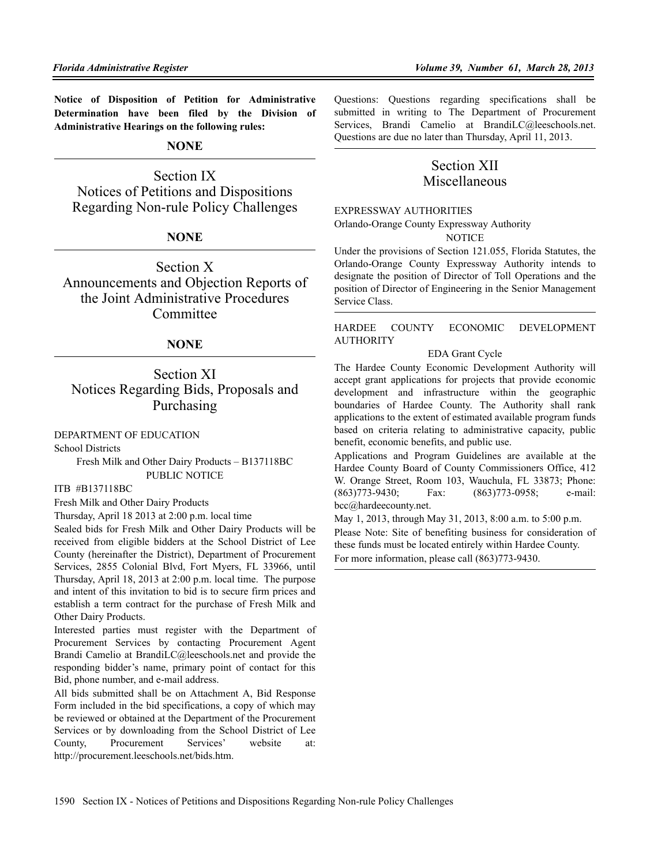**Notice of Disposition of Petition for Administrative Determination have been filed by the Division of Administrative Hearings on the following rules:**

### **NONE**

Section IX Notices of Petitions and Dispositions Regarding Non-rule Policy Challenges

# **NONE**

Section X Announcements and Objection Reports of the Joint Administrative Procedures Committee

# **NONE**

Section XI Notices Regarding Bids, Proposals and Purchasing

DEPARTMENT OF EDUCATION

School Districts

Fresh Milk and Other Dairy Products – B137118BC PUBLIC NOTICE

ITB #B137118BC

Fresh Milk and Other Dairy Products

Thursday, April 18 2013 at 2:00 p.m. local time

Sealed bids for Fresh Milk and Other Dairy Products will be received from eligible bidders at the School District of Lee County (hereinafter the District), Department of Procurement Services, 2855 Colonial Blvd, Fort Myers, FL 33966, until Thursday, April 18, 2013 at 2:00 p.m. local time. The purpose and intent of this invitation to bid is to secure firm prices and establish a term contract for the purchase of Fresh Milk and Other Dairy Products.

Interested parties must register with the Department of Procurement Services by contacting Procurement Agent Brandi Camelio at BrandiLC@leeschools.net and provide the responding bidder's name, primary point of contact for this Bid, phone number, and e-mail address.

All bids submitted shall be on Attachment A, Bid Response Form included in the bid specifications, a copy of which may be reviewed or obtained at the Department of the Procurement Services or by downloading from the School District of Lee County, Procurement Services' website at: http://procurement.leeschools.net/bids.htm.

Questions: Questions regarding specifications shall be submitted in writing to The Department of Procurement Services, Brandi Camelio at BrandiLC@leeschools.net. Questions are due no later than Thursday, April 11, 2013.

# Section XII Miscellaneous

EXPRESSWAY AUTHORITIES

Orlando-Orange County Expressway Authority

**NOTICE** 

Under the provisions of Section 121.055, Florida Statutes, the Orlando-Orange County Expressway Authority intends to designate the position of Director of Toll Operations and the position of Director of Engineering in the Senior Management Service Class.

### HARDEE COUNTY ECONOMIC DEVELOPMENT **AUTHORITY**

#### EDA Grant Cycle

The Hardee County Economic Development Authority will accept grant applications for projects that provide economic development and infrastructure within the geographic boundaries of Hardee County. The Authority shall rank applications to the extent of estimated available program funds based on criteria relating to administrative capacity, public benefit, economic benefits, and public use.

Applications and Program Guidelines are available at the Hardee County Board of County Commissioners Office, 412 W. Orange Street, Room 103, Wauchula, FL 33873; Phone: (863)773-9430; Fax: (863)773-0958; e-mail: bcc@hardeecounty.net.

May 1, 2013, through May 31, 2013, 8:00 a.m. to 5:00 p.m. Please Note: Site of benefiting business for consideration of these funds must be located entirely within Hardee County. For more information, please call (863)773-9430.